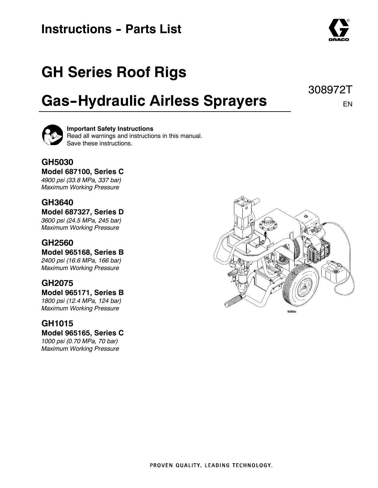### **Instructions - Parts List**

## **GH Series Roof Rigs**

## **Gas--Hydraulic Airless Sprayers**

### **Important Safety Instructions**

Read all warnings and instructions in this manual. Save these instructions.

### **GH5030**

#### **Model 687100, Series C**

*4900 psi (33.8 MPa, 337 bar) Maximum Working Pressure*

### **GH3640**

#### **Model 687327, Series D**

*3600 psi (24.5 MPa, 245 bar) Maximum Working Pressure*

#### **GH2560**

#### **Model 965168, Series B** *2400 psi (16.6 MPa, 166 bar)*

*Maximum Working Pressure*

### **GH2075**

#### **Model 965171, Series B** *1800 psi (12.4 MPa, 124 bar)*

*Maximum Working Pressure*

#### **GH1015**

#### **Model 965165, Series C**

*1000 psi (0.70 MPa, 70 bar) Maximum Working Pressure*





308972T

EN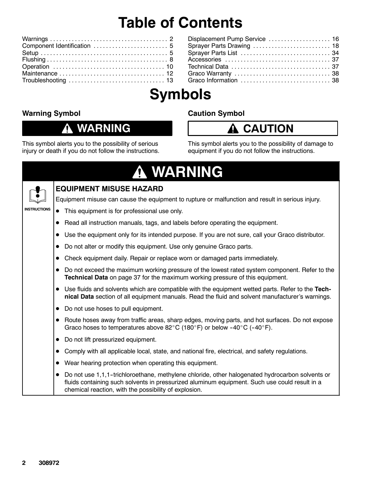## **Table of Contents**

| Component Identification  5 |
|-----------------------------|
|                             |
|                             |
|                             |
|                             |
|                             |

| Displacement Pump Service  16 |  |
|-------------------------------|--|
| Sprayer Parts Drawing  18     |  |
|                               |  |
|                               |  |
|                               |  |
|                               |  |
|                               |  |
|                               |  |

## **Symbols**

#### **Warning Symbol**

#### **WARNING** 0

This symbol alerts you to the possibility of serious injury or death if you do not follow the instructions. **Caution Symbol**

### **A** CAUTION

This symbol alerts you to the possibility of damage to equipment if you do not follow the instructions.

|                     |           | A WARNING                                                                                                                                                                                                                                                 |
|---------------------|-----------|-----------------------------------------------------------------------------------------------------------------------------------------------------------------------------------------------------------------------------------------------------------|
|                     |           | <b>EQUIPMENT MISUSE HAZARD</b>                                                                                                                                                                                                                            |
|                     |           | Equipment misuse can cause the equipment to rupture or malfunction and result in serious injury.                                                                                                                                                          |
| <b>INSTRUCTIONS</b> |           | This equipment is for professional use only.                                                                                                                                                                                                              |
|                     |           | Read all instruction manuals, tags, and labels before operating the equipment.                                                                                                                                                                            |
|                     |           | Use the equipment only for its intended purpose. If you are not sure, call your Graco distributor.                                                                                                                                                        |
|                     |           | Do not alter or modify this equipment. Use only genuine Graco parts.                                                                                                                                                                                      |
|                     | $\bullet$ | Check equipment daily. Repair or replace worn or damaged parts immediately.                                                                                                                                                                               |
|                     | $\bullet$ | Do not exceed the maximum working pressure of the lowest rated system component. Refer to the<br>Technical Data on page 37 for the maximum working pressure of this equipment.                                                                            |
|                     |           | • Use fluids and solvents which are compatible with the equipment wetted parts. Refer to the Tech-<br>nical Data section of all equipment manuals. Read the fluid and solvent manufacturer's warnings.                                                    |
|                     | $\bullet$ | Do not use hoses to pull equipment.                                                                                                                                                                                                                       |
|                     | $\bullet$ | Route hoses away from traffic areas, sharp edges, moving parts, and hot surfaces. Do not expose<br>Graco hoses to temperatures above 82 $^{\circ}$ C (180 $^{\circ}$ F) or below -40 $^{\circ}$ C (-40 $^{\circ}$ F).                                     |
|                     |           | Do not lift pressurized equipment.                                                                                                                                                                                                                        |
|                     | $\bullet$ | Comply with all applicable local, state, and national fire, electrical, and safety regulations.                                                                                                                                                           |
|                     | $\bullet$ | Wear hearing protection when operating this equipment.                                                                                                                                                                                                    |
|                     | $\bullet$ | Do not use 1,1,1-trichloroethane, methylene chloride, other halogenated hydrocarbon solvents or<br>fluids containing such solvents in pressurized aluminum equipment. Such use could result in a<br>chemical reaction, with the possibility of explosion. |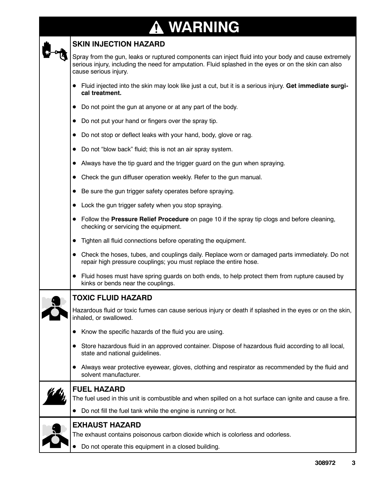#### **WARNING A**

#### **SKIN INJECTION HAZARD**

Spray from the gun, leaks or ruptured components can inject fluid into your body and cause extremely serious injury, including the need for amputation. Fluid splashed in the eyes or on the skin can also cause serious injury.

- D Fluid injected into the skin may look like just a cut, but it is a serious injury. **Get immediate surgical treatment.**
- Do not point the gun at anyone or at any part of the body.
- Do not put your hand or fingers over the spray tip.
- Do not stop or deflect leaks with your hand, body, glove or rag.
- Do not "blow back" fluid; this is not an air spray system.
- Always have the tip guard and the trigger guard on the gun when spraying.
- Check the gun diffuser operation weekly. Refer to the gun manual.
- Be sure the gun trigger safety operates before spraying.
- Lock the gun trigger safety when you stop spraying.
- Follow the **Pressure Relief Procedure** on page 10 if the spray tip clogs and before cleaning, checking or servicing the equipment.
- Tighten all fluid connections before operating the equipment.
- Check the hoses, tubes, and couplings daily. Replace worn or damaged parts immediately. Do not repair high pressure couplings; you must replace the entire hose.
- Fluid hoses must have spring guards on both ends, to help protect them from rupture caused by kinks or bends near the couplings.
- 

#### **TOXIC FLUID HAZARD**

Hazardous fluid or toxic fumes can cause serious injury or death if splashed in the eyes or on the skin, inhaled, or swallowed.

- Know the specific hazards of the fluid you are using.
- Store hazardous fluid in an approved container. Dispose of hazardous fluid according to all local, state and national guidelines.
- Always wear protective eyewear, gloves, clothing and respirator as recommended by the fluid and solvent manufacturer.



#### **FUEL HAZARD**

The fuel used in this unit is combustible and when spilled on a hot surface can ignite and cause a fire.

• Do not fill the fuel tank while the engine is running or hot.



#### **EXHAUST HAZARD**

The exhaust contains poisonous carbon dioxide which is colorless and odorless.

Do not operate this equipment in a closed building.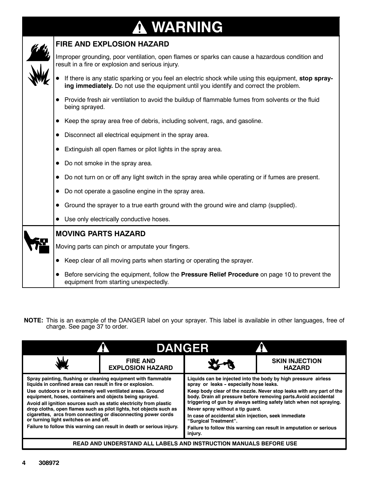# **WARNING**



**NOTE:** This is an example of the DANGER label on your sprayer. This label is available in other languages, free of charge. See page 37 to order.

|                                                                                                                                                                                                                                                                                                                                                                                                                                                                                                                                                                                     | <b>DANGER</b>                                                     |                                                                                                                                                                                                                                                                                                                                                                                                                                                                                                                                    |                                        |  |  |  |
|-------------------------------------------------------------------------------------------------------------------------------------------------------------------------------------------------------------------------------------------------------------------------------------------------------------------------------------------------------------------------------------------------------------------------------------------------------------------------------------------------------------------------------------------------------------------------------------|-------------------------------------------------------------------|------------------------------------------------------------------------------------------------------------------------------------------------------------------------------------------------------------------------------------------------------------------------------------------------------------------------------------------------------------------------------------------------------------------------------------------------------------------------------------------------------------------------------------|----------------------------------------|--|--|--|
|                                                                                                                                                                                                                                                                                                                                                                                                                                                                                                                                                                                     | <b>FIRE AND</b><br><b>EXPLOSION HAZARD</b>                        |                                                                                                                                                                                                                                                                                                                                                                                                                                                                                                                                    | <b>SKIN INJECTION</b><br><b>HAZARD</b> |  |  |  |
| Spray painting, flushing or cleaning equipment with flammable<br>liquids in confined areas can result in fire or explosion.<br>Use outdoors or in extremely well ventilated areas. Ground<br>equipment, hoses, containers and objects being sprayed.<br>Avoid all ignition sources such as static electricity from plastic<br>drop cloths, open flames such as pilot lights, hot objects such as<br>cigarettes, arcs from connecting or disconnecting power cords<br>or turning light switches on and off.<br>Failure to follow this warning can result in death or serious injury. |                                                                   | Liquids can be injected into the body by high pressure airless<br>spray or leaks - especially hose leaks.<br>Keep body clear of the nozzle. Never stop leaks with any part of the<br>body. Drain all pressure before removing parts. Avoid accidental<br>triggering of gun by always setting safety latch when not spraying.<br>Never spray without a tip guard.<br>In case of accidental skin injection, seek immediate<br>"Surgical Treatment".<br>Failure to follow this warning can result in amputation or serious<br>injury. |                                        |  |  |  |
|                                                                                                                                                                                                                                                                                                                                                                                                                                                                                                                                                                                     | READ AND UNDERSTAND ALL LABELS AND INSTRUCTION MANUALS BEFORE USE |                                                                                                                                                                                                                                                                                                                                                                                                                                                                                                                                    |                                        |  |  |  |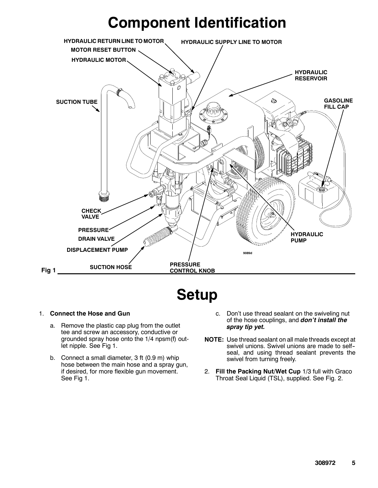### **Component Identification**



**Setup**

#### 1. **Connect the Hose and Gun**

- a. Remove the plastic cap plug from the outlet tee and screw an accessory, conductive or grounded spray hose onto the 1/4 npsm(f) outlet nipple. See Fig 1.
- b. Connect a small diameter, 3 ft (0.9 m) whip hose between the main hose and a spray gun, if desired, for more flexible gun movement. See Fig 1.
- c. Don't use thread sealant on the swiveling nut of the hose couplings, and *don't install the spray tip yet.*
- **NOTE:** Use thread sealant on all male threads except at swivel unions. Swivel unions are made to self- seal, and using thread sealant prevents the swivel from turning freely.
- 2. **Fill the Packing Nut/Wet Cup** 1/3 full with Graco Throat Seal Liquid (TSL), supplied. See Fig. 2.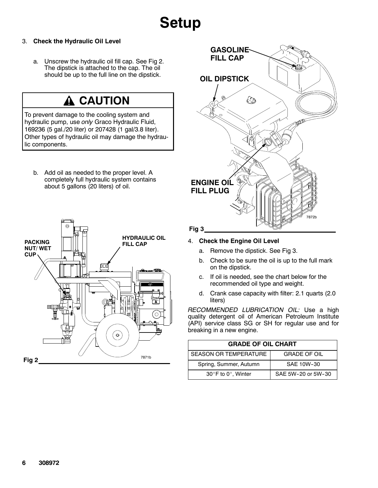## **Setup**

#### 3. **Check the Hydraulic Oil Level**

a. Unscrew the hydraulic oil fill cap. See Fig 2. The dipstick is attached to the cap. The oil should be up to the full line on the dipstick.

### **CAUTION**

To prevent damage to the cooling system and hydraulic pump, use *only* Graco Hydraulic Fluid, 169236 (5 gal./20 liter) or 207428 (1 gal/3.8 liter). Other types of hydraulic oil may damage the hydraulic components.

b. Add oil as needed to the proper level. A completely full hydraulic system contains about 5 gallons (20 liters) of oil.





#### 4. **Check the Engine Oil Level**

- a. Remove the dipstick. See Fig 3.
- b. Check to be sure the oil is up to the full mark on the dipstick.
- c. If oil is needed, see the chart below for the recommended oil type and weight.
- d. Crank case capacity with filter: 2.1 quarts (2.0 liters)

*RECOMMENDED LUBRICATION OIL:* Use a high quality detergent oil of American Petroleum Institute (API) service class SG or SH for regular use and for breaking in a new engine.

| <b>GRADE OF OIL CHART</b>              |                     |  |  |  |
|----------------------------------------|---------------------|--|--|--|
| SEASON OR TEMPERATURE                  | <b>GRADE OF OIL</b> |  |  |  |
| Spring, Summer, Autumn                 | SAF 10W-30          |  |  |  |
| 30 $\degree$ F to 0 $\degree$ . Winter | SAF 5W-20 or 5W-30  |  |  |  |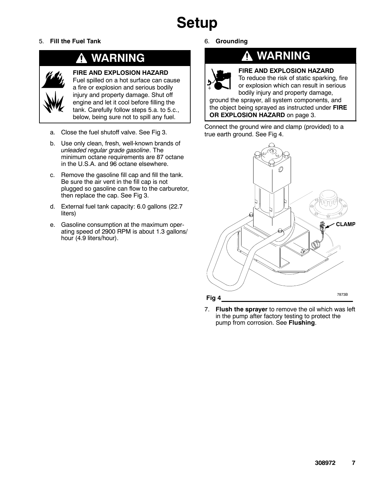## **Setup**

5. **Fill the Fuel Tank**

### **WARNING**



#### **FIRE AND EXPLOSION HAZARD**

Fuel spilled on a hot surface can cause a fire or explosion and serious bodily injury and property damage. Shut off engine and let it cool before filling the tank. Carefully follow steps 5.a. to 5.c., below, being sure not to spill any fuel.

- a. Close the fuel shutoff valve. See Fig 3.
- b. Use only clean, fresh, well-known brands of *unleaded regular grade gasoline*. The minimum octane requirements are 87 octane in the U.S.A. and 96 octane elsewhere.
- c. Remove the gasoline fill cap and fill the tank. Be sure the air vent in the fill cap is not plugged so gasoline can flow to the carburetor, then replace the cap. See Fig 3.
- d. External fuel tank capacity: 6.0 gallons (22.7 liters)
- e. Gasoline consumption at the maximum operating speed of 2900 RPM is about 1.3 gallons/ hour (4.9 liters/hour).

#### 6. **Grounding**

Λ



### **WARNING**

**FIRE AND EXPLOSION HAZARD**

To reduce the risk of static sparking, fire or explosion which can result in serious bodily injury and property damage,

ground the sprayer, all system components, and the object being sprayed as instructed under **FIRE OR EXPLOSION HAZARD** on page 3.

Connect the ground wire and clamp (provided) to a true earth ground. See Fig 4.



7. **Flush the sprayer** to remove the oil which was left in the pump after factory testing to protect the pump from corrosion. See **Flushing**.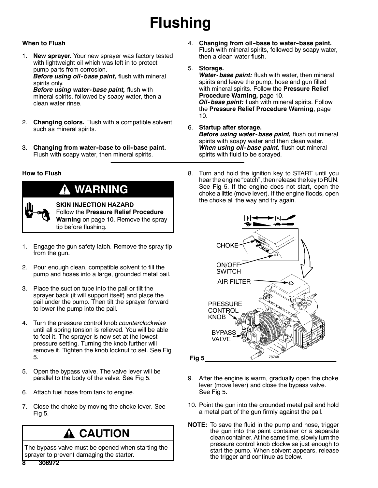## **Flushing**

#### **When to Flush**

1. **New sprayer.** Your new sprayer was factory tested with lightweight oil which was left in to protect pump parts from corrosion.

*Before using oil- base paint,* flush with mineral spirits only.

*Before using water- base paint,* flush with mineral spirits, followed by soapy water, then a clean water rinse.

- 2. **Changing colors.** Flush with a compatible solvent such as mineral spirits.
- 3. **Changing from water--base to oil--base paint.** Flush with soapy water, then mineral spirits.

#### **How to Flush**



### **WARNING**

**SKIN INJECTION HAZARD** Follow the **Pressure Relief Procedure Warning** on page 10. Remove the spray tip before flushing.

- 1. Engage the gun safety latch. Remove the spray tip from the gun.
- 2. Pour enough clean, compatible solvent to fill the pump and hoses into a large, grounded metal pail.
- 3. Place the suction tube into the pail or tilt the sprayer back (it will support itself) and place the pail under the pump. Then tilt the sprayer forward to lower the pump into the pail.
- 4. Turn the pressure control knob *counterclockwise* until all spring tension is relieved. You will be able to feel it. The sprayer is now set at the lowest pressure setting. Turning the knob further will remove it. Tighten the knob locknut to set. See Fig 5.
- 5. Open the bypass valve. The valve lever will be parallel to the body of the valve. See Fig 5.
- 6. Attach fuel hose from tank to engine.
- 7. Close the choke by moving the choke lever. See Fig 5.

### **A CAUTION**

The bypass valve must be opened when starting the sprayer to prevent damaging the starter.

- 4. **Changing from oil--base to water--base paint.** Flush with mineral spirits, followed by soapy water, then a clean water flush.
- 5. **Storage.**

*Water- base paint:* flush with water, then mineral spirits and leave the pump, hose and gun filled with mineral spirits. Follow the **Pressure Relief Procedure Warning,** page 10. *Oil- base paint:* flush with mineral spirits. Follow the **Pressure Relief Procedure Warning**, page 10.

#### 6. **Startup after storage.** *Before using water- base paint,* flush out mineral spirits with soapy water and then clean water. *When using oil- base paint,* flush out mineral spirits with fluid to be sprayed.

8. Turn and hold the ignition key to START until you hear the engine "catch", then release the key to RUN. See Fig 5. If the engine does not start, open the choke a little (move lever). If the engine floods, open the choke all the way and try again.



- 9. After the engine is warm, gradually open the choke lever (move lever) and close the bypass valve. See Fig 5.
- 10. Point the gun into the grounded metal pail and hold a metal part of the gun firmly against the pail.
- **NOTE:** To save the fluid in the pump and hose, trigger the gun into the paint container or a separate clean container. At the same time, slowly turnthe pressure control knob clockwise just enough to start the pump. When solvent appears, release the trigger and continue as below.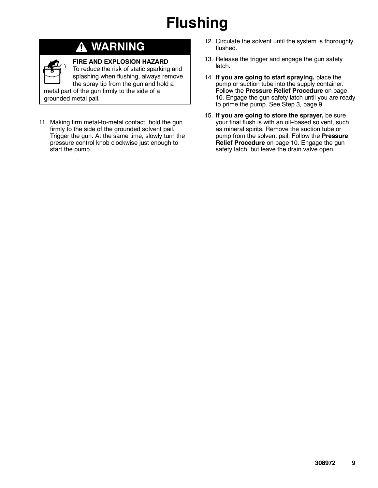## **Flushing**

### **WARNING**

#### **FIRE AND EXPLOSION HAZARD**

To reduce the risk of static sparking and splashing when flushing, always remove the spray tip from the gun and hold a metal part of the gun firmly to the side of a grounded metal pail.

11. Making firm metal-to-metal contact, hold the gun firmly to the side of the grounded solvent pail. Trigger the gun. At the same time, slowly turn the pressure control knob clockwise just enough to start the pump.

- 12. Circulate the solvent until the system is thoroughly flushed.
- 13. Release the trigger and engage the gun safety latch.
- 14. **If you are going to start spraying,** place the pump or suction tube into the supply container. Follow the **Pressure Relief Procedure** on page 10. Engage the gun safety latch until you are ready to prime the pump. See Step 3, page 9.
- 15. **If you are going to store the sprayer,** be sure your final flush is with an oil-based solvent, such as mineral spirits. Remove the suction tube or pump from the solvent pail. Follow the **Pressure Relief Procedure** on page 10. Engage the gun safety latch, but leave the drain valve open.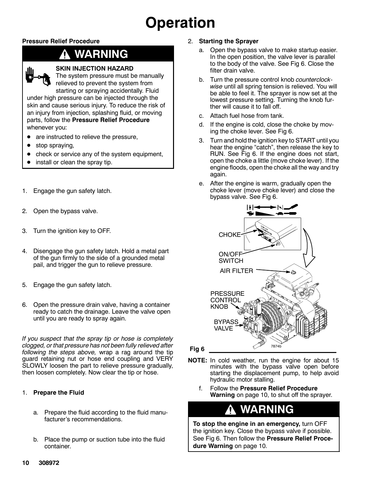## **Operation**

#### **Pressure Relief Procedure**

### **WARNING**



#### **SKIN INJECTION HAZARD**

The system pressure must be manually relieved to prevent the system from starting or spraying accidentally. Fluid

under high pressure can be injected through the skin and cause serious injury. To reduce the risk of an injury from injection, splashing fluid, or moving parts, follow the **Pressure Relief Procedure** whenever you:

- are instructed to relieve the pressure,
- stop spraying,
- check or service any of the system equipment,
- install or clean the spray tip.
- 1. Engage the gun safety latch.
- 2. Open the bypass valve.
- 3. Turn the ignition key to OFF.
- 4. Disengage the gun safety latch. Hold a metal part of the gun firmly to the side of a grounded metal pail, and trigger the gun to relieve pressure.
- 5. Engage the gun safety latch.
- 6. Open the pressure drain valve, having a container ready to catch the drainage. Leave the valve open until you are ready to spray again.

*If you suspect that the spray tip or hose is completely clogged, or that pressure has not been fully relieved after following the steps above,* wrap a rag around the tip guard retaining nut or hose end coupling and VERY SLOWLY loosen the part to relieve pressure gradually, then loosen completely. Now clear the tip or hose.

#### 1. **Prepare the Fluid**

- a. Prepare the fluid according to the fluid manufacturer's recommendations.
- b. Place the pump or suction tube into the fluid container.

#### 2. **Starting the Sprayer**

- a. Open the bypass valve to make startup easier. In the open position, the valve lever is parallel to the body of the valve. See Fig 6. Close the filter drain valve.
- b. Turn the pressure control knob *counterclockwise* until all spring tension is relieved. You will be able to feel it. The sprayer is now set at the lowest pressure setting. Turning the knob further will cause it to fall off.
- c. Attach fuel hose from tank.
- d. If the engine is cold, close the choke by moving the choke lever. See Fig 6.
- 3. Turn and hold the ignition key to START until you hear the engine "catch", then release the key to RUN. See Fig 6. If the engine does not start, open the choke a little (move choke lever). If the engine floods, open the choke all the way and try again.
- e. After the engine is warm, gradually open the choke lever (move choke lever) and close the bypass valve. See Fig 6.



**Fig 6** 

- **NOTE:** In cold weather, run the engine for about 15 minutes with the bypass valve open before starting the displacement pump, to help avoid hydraulic motor stalling.
	- f. Follow the **Pressure Relief Procedure Warning** on page 10, to shut off the sprayer.

### **WARNING**

**To stop the engine in an emergency,** turn OFF the ignition key. Close the bypass valve if possible. See Fig 6. Then follow the **Pressure Relief Procedure Warning** on page 10.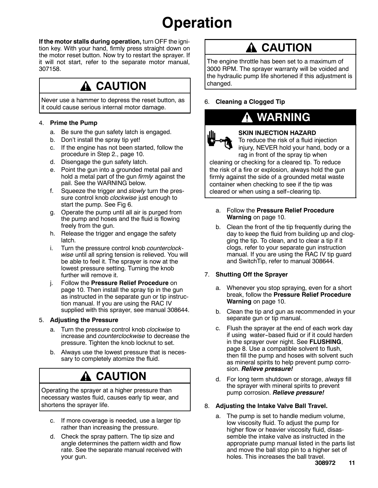## **Operation**

**If the motor stalls during operation,** turn OFF the ignition key. With your hand, firmly press straight down on the motor reset button. Now try to restart the sprayer. If it will not start, refer to the separate motor manual, 307158.

### **CAUTION**

Never use a hammer to depress the reset button, as it could cause serious internal motor damage.

#### 4. **Prime the Pump**

- a. Be sure the gun safety latch is engaged.
- b. Don't install the spray tip yet!
- c. If the engine has not been started, follow the procedure in Step 2., page 10.
- d. Disengage the gun safety latch.
- e. Point the gun into a grounded metal pail and hold a metal part of the gun *firmly* against the pail. See the WARNING below.
- f. Squeeze the trigger and *slowly* turn the pressure control knob *clockwise* just enough to start the pump. See Fig 6.
- g. Operate the pump until all air is purged from the pump and hoses and the fluid is flowing freely from the gun.
- h. Release the trigger and engage the safety latch.
- i. Turn the pressure control knob *counterclockwise* until all spring tension is relieved. You will be able to feel it. The sprayer is now at the lowest pressure setting. Turning the knob further will remove it.
- j. Follow the **Pressure Relief Procedure** on page 10. Then install the spray tip in the gun as instructed in the separate gun or tip instruction manual. If you are using the RAC IV supplied with this sprayer, see manual 308644.

#### 5. **Adjusting the Pressure**

- a. Turn the pressure control knob *clockwise* to increase and *counterclockwise* to decrease the pressure. Tighten the knob locknut to set.
- b. Always use the lowest pressure that is necessary to completely atomize the fluid.

### **CAUTION**

Operating the sprayer at a higher pressure than necessary wastes fluid, causes early tip wear, and shortens the sprayer life.

- c. If more coverage is needed, use a larger tip rather than increasing the pressure.
- d. Check the spray pattern. The tip size and angle determines the pattern width and flow rate. See the separate manual received with your gun.

### **A CAUTION**

The engine throttle has been set to a maximum of 3000 RPM. The sprayer warranty will be voided and the hydraulic pump life shortened if this adjustment is changed.

#### 6. **Cleaning a Clogged Tip**

### **WARNING**



### **SKIN INJECTION HAZARD**

To reduce the risk of a fluid injection injury, NEVER hold your hand, body or a rag in front of the spray tip when

cleaning or checking for a cleared tip. To reduce the risk of a fire or explosion, always hold the gun firmly against the side of a grounded metal waste container when checking to see if the tip was cleared or when using a self-clearing tip.

- a. Follow the **Pressure Relief Procedure Warning** on page 10.
- b. Clean the front of the tip frequently during the day to keep the fluid from building up and clogging the tip. To clean, and to clear a tip if it clogs, refer to your separate gun instruction manual. If you are using the RAC IV tip guard and SwitchTip, refer to manual 308644.

#### 7. **Shutting Off the Sprayer**

- a. Whenever you stop spraying, even for a short break, follow the **Pressure Relief Procedure Warning** on page 10.
- b. Clean the tip and gun as recommended in your separate gun or tip manual.
- c. Flush the sprayer at the end of each work day if using water-based fluid or if it could harden in the sprayer over night. See **FLUSHING**, page 8. Use a compatible solvent to flush, then fill the pump and hoses with solvent such as mineral spirits to help prevent pump corrosion. *Relieve pressure!*
- d. For long term shutdown or storage, *always* fill the sprayer with mineral spirits to prevent pump corrosion. *Relieve pressure!*

#### 8. **Adjusting the Intake Valve Ball Travel.**

a. The pump is set to handle medium volume, low viscosity fluid. To adjust the pump for higher flow or heavier viscosity fluid, disassemble the intake valve as instructed in the appropriate pump manual listed in the parts list and move the ball stop pin to a higher set of holes. This increases the ball travel.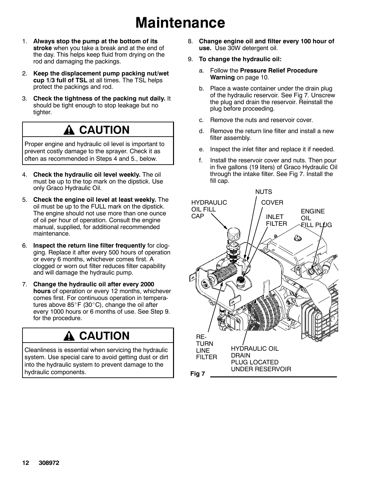## **Maintenance**

- 1. **Always stop the pump at the bottom of its stroke** when you take a break and at the end of the day. This helps keep fluid from drying on the rod and damaging the packings.
- 2. **Keep the displacement pump packing nut/wet cup 1/3 full of TSL** at all times. The TSL helps protect the packings and rod.
- 3. **Check the tightness of the packing nut daily.** It should be tight enough to stop leakage but no tighter.

### **CAUTION**

Proper engine and hydraulic oil level is important to prevent costly damage to the sprayer. Check it as often as recommended in Steps 4 and 5., below.

- 4. **Check the hydraulic oil level weekly.** The oil must be up to the top mark on the dipstick. Use only Graco Hydraulic Oil.
- 5. **Check the engine oil level at least weekly.** The oil must be up to the FULL mark on the dipstick. The engine should not use more than one ounce of oil per hour of operation. Consult the engine manual, supplied, for additional recommended maintenance.
- 6. **Inspect the return line filter frequently** for clogging. Replace it after every 500 hours of operation or every 6 months, whichever comes first. A clogged or worn out filter reduces filter capability and will damage the hydraulic pump.
- 7. **Change the hydraulic oil after every 2000 hours** of operation or every 12 months, whichever comes first. For continuous operation in temperatures above  $85^\circ$ F (30 $^\circ$ C), change the oil after every 1000 hours or 6 months of use. See Step 9. for the procedure.

### **A CAUTION**

Cleanliness is essential when servicing the hydraulic system. Use special care to avoid getting dust or dirt into the hydraulic system to prevent damage to the hydraulic components.

- 8. **Change engine oil and filter every 100 hour of use.** Use 30W detergent oil.
- 9. **To change the hydraulic oil:**
	- a. Follow the **Pressure Relief Procedure Warning** on page 10.
	- b. Place a waste container under the drain plug of the hydraulic reservoir. See Fig 7. Unscrew the plug and drain the reservoir. Reinstall the plug before proceeding.
	- c. Remove the nuts and reservoir cover.
	- d. Remove the return line filter and install a new filter assembly.
	- e. Inspect the inlet filter and replace it if needed.
	- f. Install the reservoir cover and nuts. Then pour in five gallons (19 liters) of Graco Hydraulic Oil through the intake filter. See Fig 7. Install the fill cap.

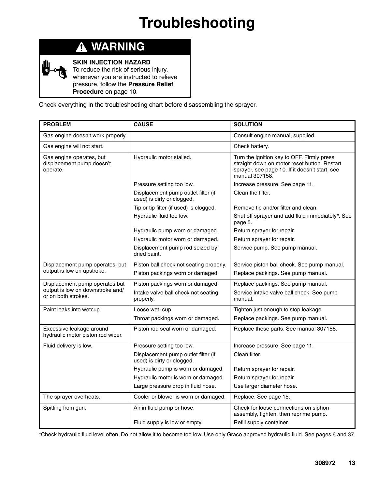## **Troubleshooting**

| ሰ<br><b>WARNING</b> |  |
|---------------------|--|
|---------------------|--|

**SKIN INJECTION HAZARD**

To reduce the risk of serious injury, whenever you are instructed to relieve pressure, follow the **Pressure Relief Procedure** on page 10.

Check everything in the troubleshooting chart before disassembling the sprayer.

| <b>PROBLEM</b>                                                    | <b>CAUSE</b>                                                      | <b>SOLUTION</b>                                                                                                                                                |
|-------------------------------------------------------------------|-------------------------------------------------------------------|----------------------------------------------------------------------------------------------------------------------------------------------------------------|
| Gas engine doesn't work properly.                                 |                                                                   | Consult engine manual, supplied.                                                                                                                               |
| Gas engine will not start.                                        |                                                                   | Check battery.                                                                                                                                                 |
| Gas engine operates, but<br>displacement pump doesn't<br>operate. | Hydraulic motor stalled.                                          | Turn the ignition key to OFF. Firmly press<br>straight down on motor reset button. Restart<br>sprayer, see page 10. If it doesn't start, see<br>manual 307158. |
|                                                                   | Pressure setting too low.                                         | Increase pressure. See page 11.                                                                                                                                |
|                                                                   | Displacement pump outlet filter (if<br>used) is dirty or clogged. | Clean the filter.                                                                                                                                              |
|                                                                   | Tip or tip filter (if used) is clogged.                           | Remove tip and/or filter and clean.                                                                                                                            |
|                                                                   | Hydraulic fluid too low.                                          | Shut off sprayer and add fluid immediately*. See<br>page 5.                                                                                                    |
|                                                                   | Hydraulic pump worn or damaged.                                   | Return sprayer for repair.                                                                                                                                     |
|                                                                   | Hydraulic motor worn or damaged.                                  | Return sprayer for repair.                                                                                                                                     |
|                                                                   | Displacement pump rod seized by<br>dried paint.                   | Service pump. See pump manual.                                                                                                                                 |
| Displacement pump operates, but                                   | Piston ball check not seating properly.                           | Service piston ball check. See pump manual.                                                                                                                    |
| output is low on upstroke.                                        | Piston packings worn or damaged.                                  | Replace packings. See pump manual.                                                                                                                             |
| Displacement pump operates but                                    | Piston packings worn or damaged.                                  | Replace packings. See pump manual.                                                                                                                             |
| output is low on downstroke and/<br>or on both strokes.           | Intake valve ball check not seating<br>properly.                  | Service intake valve ball check. See pump<br>manual.                                                                                                           |
| Paint leaks into wetcup.                                          | Loose wet-cup.                                                    | Tighten just enough to stop leakage.                                                                                                                           |
|                                                                   | Throat packings worn or damaged.                                  | Replace packings. See pump manual.                                                                                                                             |
| Excessive leakage around<br>hydraulic motor piston rod wiper.     | Piston rod seal worn or damaged.                                  | Replace these parts. See manual 307158.                                                                                                                        |
| Fluid delivery is low.                                            | Pressure setting too low.                                         | Increase pressure. See page 11.                                                                                                                                |
|                                                                   | Displacement pump outlet filter (if<br>used) is dirty or clogged. | Clean filter.                                                                                                                                                  |
|                                                                   | Hydraulic pump is worn or damaged.                                | Return sprayer for repair.                                                                                                                                     |
|                                                                   | Hydraulic motor is worn or damaged.                               | Return sprayer for repair.                                                                                                                                     |
|                                                                   | Large pressure drop in fluid hose.                                | Use larger diameter hose.                                                                                                                                      |
| The sprayer overheats.                                            | Cooler or blower is worn or damaged.                              | Replace. See page 15.                                                                                                                                          |
| Spitting from gun.                                                | Air in fluid pump or hose.                                        | Check for loose connections on siphon<br>assembly, tighten, then reprime pump.                                                                                 |
|                                                                   | Fluid supply is low or empty.                                     | Refill supply container.                                                                                                                                       |

\*Check hydraulic fluid level often. Do not allow it to become too low. Use only Graco approved hydraulic fluid. See pages 6 and 37.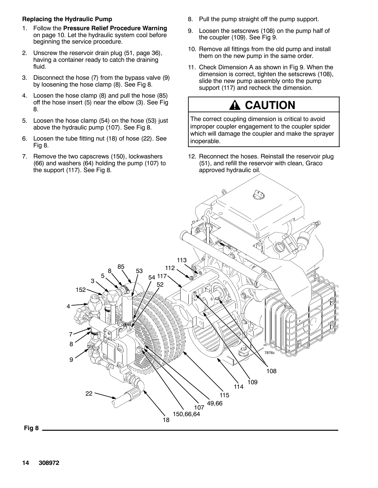#### **Replacing the Hydraulic Pump**

- 1. Follow the **Pressure Relief Procedure Warning** on page 10. Let the hydraulic system cool before beginning the service procedure.
- 2. Unscrew the reservoir drain plug (51, page 36), having a container ready to catch the draining fluid.
- 3. Disconnect the hose (7) from the bypass valve (9) by loosening the hose clamp (8). See Fig 8.
- 4. Loosen the hose clamp (8) and pull the hose (85) off the hose insert (5) near the elbow (3). See Fig 8.
- 5. Loosen the hose clamp (54) on the hose (53) just above the hydraulic pump (107). See Fig 8.
- 6. Loosen the tube fitting nut (18) of hose (22). See Fig 8.
- 7. Remove the two capscrews (150), lockwashers (66) and washers (64) holding the pump (107) to the support (117). See Fig 8.
- 8. Pull the pump straight off the pump support.
- 9. Loosen the setscrews (108) on the pump half of the coupler (109). See Fig 9.
- 10. Remove all fittings from the old pump and install them on the new pump in the same order.
- 11. Check Dimension A as shown in Fig 9. When the dimension is correct, tighten the setscrews (108), slide the new pump assembly onto the pump support (117) and recheck the dimension.

### **CAUTION**

The correct coupling dimension is critical to avoid improper coupler engagement to the coupler spider which will damage the coupler and make the sprayer inoperable.

12. Reconnect the hoses. Reinstall the reservoir plug (51), and refill the reservoir with clean, Graco approved hydraulic oil.



**Fig 8**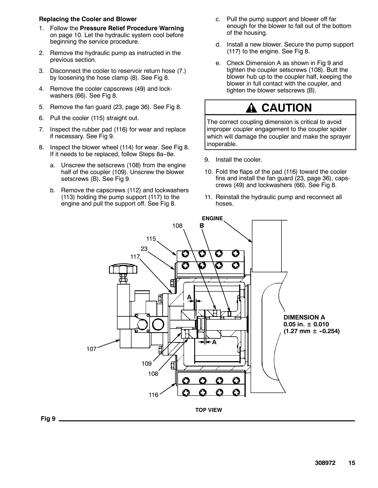**308972 15**



#### 11. Reinstall the hydraulic pump and reconnect all hoses.



#### 6. Pull the cooler (115) straight out. 7. Inspect the rubber pad (116) for wear and replace

5. Remove the fan guard (23, page 36). See Fig 8.

1. Follow the **Pressure Relief Procedure Warning** on page 10. Let the hydraulic system cool before

2. Remove the hydraulic pump as instructed in the

3. Disconnect the cooler to reservoir return hose (7.) by loosening the hose clamp (8). See Fig 8. 4. Remove the cooler capscrews (49) and lock-

**Replacing the Cooler and Blower**

previous section.

**Fig 9**

washers (66). See Fig 8.

beginning the service procedure.

- if necessary. See Fig 9.
- 8. Inspect the blower wheel (114) for wear. See Fig 8. If it needs to be replaced, follow Steps 8a-8e.
	- a. Unscrew the setscrews (108) from the engine half of the coupler (109). Unscrew the blower setscrews (B). See Fig 9.
	- b. Remove the capscrews (112) and lockwashers (113) holding the pump support (117) to the engine and pull the support off. See Fig 8.
- c. Pull the pump support and blower off far enough for the blower to fall out of the bottom of the housing.
- d. Install a new blower. Secure the pump support (117) to the engine. See Fig 8.
- e. Check Dimension A as shown in Fig 9 and tighten the coupler setscrews (108). Butt the blower hub up to the coupler half, keeping the blower in full contact with the coupler, and tighten the blower setscrews (B).

### **CAUTION**

The correct coupling dimension is critical to avoid improper coupler engagement to the coupler spider which will damage the coupler and make the sprayer inoperable.

9. Install the cooler.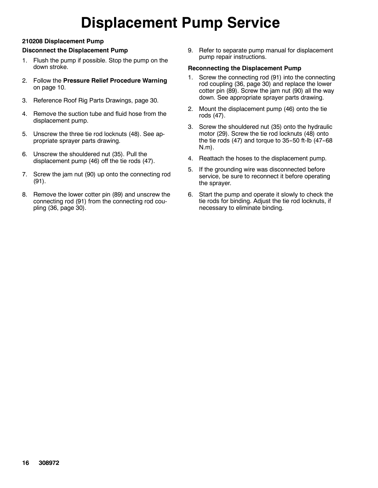## **Displacement Pump Service**

#### **210208 Displacement Pump**

#### **Disconnect the Displacement Pump**

- 1. Flush the pump if possible. Stop the pump on the down stroke.
- 2. Follow the **Pressure Relief Procedure Warning** on page 10.
- 3. Reference Roof Rig Parts Drawings, page 30.
- 4. Remove the suction tube and fluid hose from the displacement pump.
- 5. Unscrew the three tie rod locknuts (48). See appropriate sprayer parts drawing.
- 6. Unscrew the shouldered nut (35). Pull the displacement pump (46) off the tie rods (47).
- 7. Screw the jam nut (90) up onto the connecting rod (91).
- 8. Remove the lower cotter pin (89) and unscrew the connecting rod (91) from the connecting rod coupling (36, page 30).

9. Refer to separate pump manual for displacement pump repair instructions.

#### **Reconnecting the Displacement Pump**

- 1. Screw the connecting rod (91) into the connecting rod coupling (36, page 30) and replace the lower cotter pin (89). Screw the jam nut (90) all the way down. See appropriate sprayer parts drawing.
- 2. Mount the displacement pump (46) onto the tie rods (47).
- 3. Screw the shouldered nut (35) onto the hydraulic motor (29). Screw the tie rod locknuts (48) onto the tie rods  $(47)$  and torque to 35-50 ft-lb  $(47-68)$ N.m).
- 4. Reattach the hoses to the displacement pump.
- 5. If the grounding wire was disconnected before service, be sure to reconnect it before operating the sprayer.
- 6. Start the pump and operate it slowly to check the tie rods for binding. Adjust the tie rod locknuts, if necessary to eliminate binding.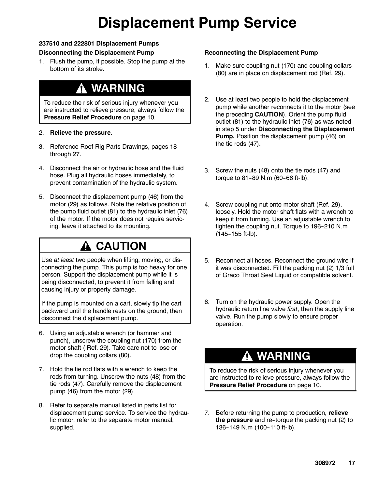## **Displacement Pump Service**

#### **237510 and 222801 Displacement Pumps**

#### **Disconnecting the Displacement Pump**

1. Flush the pump, if possible. Stop the pump at the bottom of its stroke.

### **WARNING**

To reduce the risk of serious injury whenever you are instructed to relieve pressure, always follow the **Pressure Relief Procedure** on page 10.

#### 2. **Relieve the pressure.**

- 3. Reference Roof Rig Parts Drawings, pages 18 through 27.
- 4. Disconnect the air or hydraulic hose and the fluid hose. Plug all hydraulic hoses immediately, to prevent contamination of the hydraulic system.
- 5. Disconnect the displacement pump (46) from the motor (29) as follows. Note the relative position of the pump fluid outlet (81) to the hydraulic inlet (76) of the motor. If the motor does not require servicing, leave it attached to its mounting.

### **A CAUTION**

Use *at least* two people when lifting, moving, or disconnecting the pump. This pump is too heavy for one person. Support the displacement pump while it is being disconnected, to prevent it from falling and causing injury or property damage.

If the pump is mounted on a cart, slowly tip the cart backward until the handle rests on the ground, then disconnect the displacement pump.

- 6. Using an adjustable wrench (or hammer and punch), unscrew the coupling nut (170) from the motor shaft ( Ref. 29). Take care not to lose or drop the coupling collars (80).
- 7. Hold the tie rod flats with a wrench to keep the rods from turning. Unscrew the nuts (48) from the tie rods (47). Carefully remove the displacement pump (46) from the motor (29).
- 8. Refer to separate manual listed in parts list for displacement pump service. To service the hydraulic motor, refer to the separate motor manual, supplied.

#### **Reconnecting the Displacement Pump**

- 1. Make sure coupling nut (170) and coupling collars (80) are in place on displacement rod (Ref. 29).
- 2. Use at least two people to hold the displacement pump while another reconnects it to the motor (see the preceding **CAUTION**). Orient the pump fluid outlet (81) to the hydraulic inlet (76) as was noted in step 5 under **Disconnecting the Displacement Pump.** Position the displacement pump (46) on the tie rods (47).
- 3. Screw the nuts (48) onto the tie rods (47) and torque to  $81 - 89$  N.m (60-66 ft-lb).
- 4. Screw coupling nut onto motor shaft (Ref. 29), loosely. Hold the motor shaft flats with a wrench to keep it from turning. Use an adjustable wrench to tighten the coupling nut. Torque to 196-210 N.m  $(145-155$  ft-lb).
- 5. Reconnect all hoses. Reconnect the ground wire if it was disconnected. Fill the packing nut (2) 1/3 full of Graco Throat Seal Liquid or compatible solvent.
- 6. Turn on the hydraulic power supply. Open the hydraulic return line valve *first*, then the supply line valve. Run the pump slowly to ensure proper operation.

### **WARNING**

To reduce the risk of serious injury whenever you are instructed to relieve pressure, always follow the **Pressure Relief Procedure** on page 10.

7. Before returning the pump to production, **relieve the pressure** and re--torque the packing nut (2) to 136-149 N.m (100-110 ft-lb).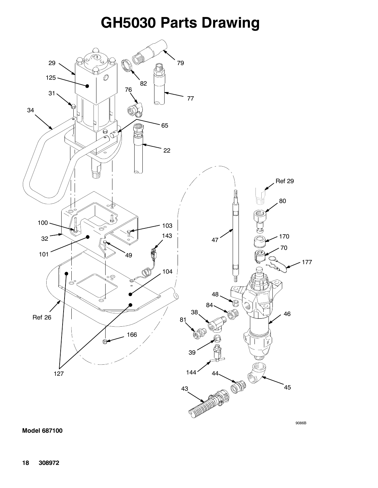### **GH5030 Parts Drawing**



9086B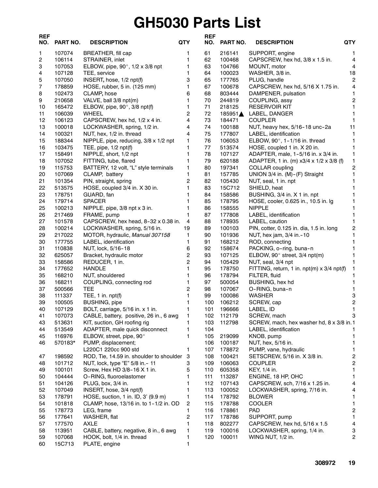## **GH5030 Parts List**

| <b>REF</b><br>NO. | <b>PART NO.</b>  | <b>DESCRIPTION</b>                                             | <b>QTY</b>     | <b>REF</b><br>NO. | PART NO.         | QTY<br><b>DESCRIPTION</b>                                                     |                         |
|-------------------|------------------|----------------------------------------------------------------|----------------|-------------------|------------------|-------------------------------------------------------------------------------|-------------------------|
| 1                 | 107074           | BREATHER, fill cap                                             | 1              | 61                | 216141           | SUPPORT, engine                                                               | 1                       |
| 2                 | 106114           | STRAINER, inlet                                                | 1              | 62                | 100468           | CAPSCREW, hex hd, 3/8 x 1.5 in.                                               | 4                       |
| 3                 | 107053           | ELBOW, pipe, 90°, 1/2 x 3/8 npt                                | 1              | 63                | 104766           | MOUNT, motor                                                                  | $\overline{4}$          |
| 4                 | 107128           | TEE, service                                                   | 1              | 64                | 100023           | WASHER, 3/8 in.                                                               | 18                      |
| 5                 | 107050           | INSERT, hose, 1/2 npt(f)                                       | 3              | 65                | 177765           | PLUG, handle                                                                  | $\overline{c}$          |
| 7                 | 178859           | HOSE, rubber, 5 in. (125 mm)                                   | 1              | 67                | 100678           | CAPSCREW, hex hd, 5/16 X 1.75 in.                                             | 4                       |
| 8                 | 102473           | CLAMP, hose                                                    | 6              | 68                | 803444           | DAMPENER, pulsation                                                           | 1                       |
| 9                 | 210658           | VALVE, ball 3/8 npt(m)                                         | $\mathbf{1}$   | 70                | 244819           | COUPLING, assy                                                                | 2                       |
| 10                | 165472           | ELBOW, pipe, 90°, 3/8 npt(f)                                   | 1              | 71                | 218125           | <b>RESERVOIR KIT</b>                                                          | 1                       |
| 11                | 106039           | <b>WHEEL</b>                                                   | $\overline{2}$ | 72                | 185951▲          | LABEL, DANGER                                                                 | 1                       |
| 12                | 106123           | CAPSCREW, hex hd, 1/2 x 4 in.                                  | 4              | 73                | 184471           | <b>COUPLER</b>                                                                | $\mathbf{1}$            |
| 13                | 100018           | LOCKWASHER, spring, 1/2 in.                                    | 4              | 74                | 100188           | NUT, heavy hex, 5/16-18 unc-2a                                                | 11                      |
| 14                | 100321           | NUT, hex, 1/2 in. thread                                       | 4              | 75                | 177807           | LABEL, identification                                                         | $\mathbf{1}$            |
| 15                | 188344           | NIPPLE, pipe, reducing, 3/8 x 1/2 npt                          | 1              | 76                | 106053           | ELBOW, 90°, 1-1/16 in. thread                                                 | 1                       |
| 16                | 103475           | TEE, pipe, $1/2$ npt(f)                                        | 1<br>1         | 77<br>78          | 513574           | HOSE, coupled 1 in. X 20 in.                                                  | 1                       |
| 17                | 158491           | NIPPLE, short, 1/2 npt                                         | 1              | 79                | 107127<br>620188 | ADAPTER, male, 1-5/16 in. x 3/4 in.                                           | 1                       |
| 18                | 107052<br>115753 | FITTING, tube, flared<br>BATTERY, 12 volt, "L" style terminals | 1              | 80                | 197341           | ADAPTER, 1 in. (m) $x3/4 \times 1/2 \times 3/8$ (f)<br><b>COLLAR</b> coupling | 1<br>2                  |
| 19                | 107069           |                                                                | 1              | 81                | 157785           | UNION 3/4 in. (M)-(F) Straight                                                | 1                       |
| 20<br>21          | 101354           | CLAMP, battery<br>PIN, straight, spring                        | $\overline{2}$ | 82                | 105430           | NUT, seal, 1 in. npt                                                          | 1                       |
| 22                | 513575           | HOSE, coupled 3/4 in. X 30 in.                                 | 1              | 83                | 15C712           | SHIELD, heat                                                                  |                         |
| 23                | 178751           | GUARD, fan                                                     | 1              | 84                | 158586           | BUSHING, 3/4 in. X 1 in. npt                                                  |                         |
| 24                | 179714           | <b>SPACER</b>                                                  | 1              | 85                | 178795           | HOSE, cooler, 0.625 in., 10.5 in. lg                                          |                         |
| 25                | 100213           | NIPPLE, pipe, 3/8 npt x 3 in.                                  | 1              | 86                | 158555           | <b>NIPPLE</b>                                                                 | 1                       |
| 26                | 217469           | FRAME, pump                                                    | 1              | 87                | 177808           | LABEL, identification                                                         | 1                       |
| 27                | 101578           | CAPSCREW, hex head, 8-32 x 0.38 in.                            | 4              | 88                | 178935           | LABEL, caution                                                                | 1                       |
| 28                | 100214           | LOCKWASHER, spring, 5/16 in.                                   | 19             | 89                | 100103           | PIN, cotter, 0.125 in. dia, 1.5 in. long                                      | 2                       |
| 29                | 217022           | MOTOR, hydraulic, Manual 307158                                | 1              | 90                | 101936           | NUT, hex jam, 3/4 in. - 10                                                    | 1                       |
| 30                | 177755           | LABEL, identification                                          | 1              | 91                | 168212           | ROD, connecting                                                               | 1                       |
| 31                | 110838           | NUT, lock, 5/16-18                                             | 6              | 92                | 158674           | PACKING, o-ring, buna-n                                                       | 1                       |
| 32                | 625057           | Bracket, hydraulic motor                                       | 2              | 93                | 107125           | ELBOW, 90° street, 3/4 npt(m)                                                 | 1                       |
| 33                | 158586           | REDUCER, 1 in.                                                 | 2              | 94                | 105429           | NUT, seal, 3/4 npt                                                            | 1                       |
| 34                | 177652           | <b>HANDLE</b>                                                  | 1              | 95                | 178750           | FITTING, return, 1 in. npt(m) x 3/4 npt(f)                                    | 1                       |
| 35                | 168210           | NUT, shouldered                                                | 1              | 96                | 178794           | FILTER, fluid                                                                 | 1                       |
| 36                | 168211           | COUPLING, connecting rod                                       | 1              | 97                | 500054           | BUSHING, hex hd                                                               | 1                       |
| 37                | 500566           | TEE                                                            | 2              | 98                | 107067           | O-RING, buna-n                                                                | 1                       |
| 38                | 111337           | TEE, 1 in. npt(f)                                              | 1              | 99                | 100086           | <b>WASHER</b>                                                                 | 3                       |
| 39                | 100505           | <b>BUSHING, pipe</b>                                           | 1              | 100               | 106212           | SCREW, cap                                                                    | $\mathbf 2$             |
| 40                | 107129           | BOLT, carriage, 5/16 in. x 1 in.                               | 1              | 101               | 196666           | LABEL, ID                                                                     | 1                       |
| 41                | 107073           | CABLE, battery, positive, 26 in., 6 awg                        | 1              | 102               | 112179           | SCREW, mach                                                                   | 3                       |
| 43                | 513631           | KIT, suction, GH roofing rig                                   | 1              | 103               | 112798           | SCREW, mach, hex washer hd, 8 x 3/8 in. 1                                     |                         |
| 44                | 513549           | ADAPTER, male quick disconnect                                 | 1              | 104               |                  | LABEL, identification                                                         |                         |
| 45                | 116976           | ELBOW, street, pipe, 90°                                       | 1              | 105               | 219099           | KNOB, pump                                                                    | 1                       |
| 46                | 570183*          | PUMP, displacement;                                            |                | 106               | 100187           | NUT, hex, 5/16 in.                                                            | 1                       |
|                   |                  | L220C1 220cc 900 std                                           | 1              | 107               | 178872           | PUMP, vane, hydraulic                                                         | 1                       |
| 47                | 198592           | ROD, Tie, 14.59 in. shoulder to shoulder 3                     |                | 108               | 100421           | SETSCREW, 5/16 in. X 3/8 in.                                                  | 2                       |
| 48                | 101712           | NUT, lock, type "E" 5/8 in. - 11                               | 3              | 109               | 106063           | <b>COUPLER</b>                                                                | 2                       |
| 49                | 100101           | Screw, Hex HD 3/8-16 X 1 in.                                   | 5              | 110               | 605358           | KEY, 1/4 in.                                                                  | 1                       |
| 50                | 104444           | O-RING, fluoroelastomer                                        | 1              | 111               | 113287           | ENGINE, 18 HP, OHC                                                            | 1                       |
| 51                | 104126           | PLUG, box, 3/4 in.                                             | 1              | 112               | 107143           | CAPSCREW, sch, 7/16 x 1.25 in.                                                | 4                       |
| 52                | 107049           | INSERT, hose, 3/4 npt(f)                                       | 1              | 113               | 100052           | LOCKWASHER, spring, 7/16 in.                                                  | 4                       |
| 53                | 178791           | HOSE, suction, 1 in. ID, 3' (9.9 m)                            | 1              | 114               | 178792           | <b>BLOWER</b>                                                                 | 1                       |
| 54                | 101818           | CLAMP, hose, 13/16 in. to 1-1/2 in. OD                         | 2              | 115               | 178788           | <b>COOLER</b>                                                                 | 1                       |
| 55                | 178773           | LEG, frame                                                     | 1              | 116               | 178861           | <b>PAD</b>                                                                    | $\overline{\mathbf{c}}$ |
| 56                | 177641           | WASHER, flat                                                   | 2              | 117               | 178786           | SUPPORT, pump                                                                 | 1.                      |
| 57                | 177570<br>113951 | <b>AXLE</b><br>CABLE, battery, negative, 8 in., 6 awg          | 1<br>1         | 118               | 802277           | CAPSCREW, hex hd, 5/16 x 1.5                                                  | 4<br>3                  |
| 58<br>59          | 107068           | HOOK, bolt, 1/4 in. thread                                     | 1              | 119<br>120        | 100016<br>100011 | LOCKWASHER, spring, 1/4 in.<br>WING NUT, 1/2 in.                              | 2                       |
| 60                | 15C713           | PLATE, engine                                                  | 1              |                   |                  |                                                                               |                         |
|                   |                  |                                                                |                |                   |                  |                                                                               |                         |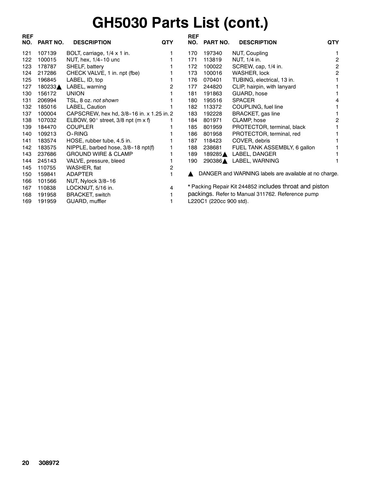## **GH5030 Parts List (cont.)**

| <b>REF</b> |                 |                                              |            | <b>REF</b> |                         |                                                        |            |
|------------|-----------------|----------------------------------------------|------------|------------|-------------------------|--------------------------------------------------------|------------|
| NO.        | <b>PART NO.</b> | <b>DESCRIPTION</b>                           | <b>QTY</b> | NO.        | PART NO.                | <b>DESCRIPTION</b>                                     | <b>QTY</b> |
| 121        | 107139          | BOLT, carriage, 1/4 x 1 in.                  |            | 170        | 197340                  | NUT, Coupling                                          |            |
| 122        | 100015          | NUT, hex, 1/4-10 unc                         |            | 171        | 113819                  | NUT, 1/4 in.                                           | 2          |
| 123        | 178787          | SHELF, battery                               |            | 172        | 100022                  | SCREW, cap, 1/4 in.                                    | 2          |
| 124        | 217286          | CHECK VALVE, 1 in. npt (fbe)                 |            | 173        | 100016                  | WASHER, lock                                           | 2          |
| 125        | 196845          | LABEL, ID, top                               |            | 176        | 070401                  | TUBING, electrical, 13 in.                             |            |
| 127        | 180233▲         | LABEL, warning                               | 2          | 177        | 244820                  | CLIP, hairpin, with lanyard                            |            |
| 130        | 156172          | <b>UNION</b>                                 |            | 181        | 191863                  | GUARD, hose                                            |            |
| 131        | 206994          | TSL, 8 oz. not shown                         |            | 180        | 195516                  | <b>SPACER</b>                                          |            |
| 132        | 185016          | LABEL, Caution                               |            | 182        | 113372                  | COUPLING, fuel line                                    |            |
| 137        | 100004          | CAPSCREW, hex hd, 3/8-16 in. x 1.25 in. 2    |            | 183        | 192228                  | BRACKET, gas line                                      |            |
| 138        | 107032          | ELBOW, 90 $^{\circ}$ street, 3/8 npt (m x f) |            | 184        | 801971                  | CLAMP, hose                                            | 2          |
| 139        | 184470          | <b>COUPLER</b>                               |            | 185        | 801959                  | PROTECTOR, terminal, black                             |            |
| 140        | 109213          | O-RING                                       |            | 186        | 801958                  | PROTECTOR, terminal, red                               |            |
| 141        | 183574          | HOSE, rubber tube, 4.5 in.                   |            | 187        | 118423                  | COVER, debris                                          |            |
| 142        | 183575          | NIPPLE, barbed hose, 3/8-18 npt(f)           |            | 188        | 238681                  | FUEL TANK ASSEMBLY, 6 gallon                           |            |
| 143        | 237686          | <b>GROUND WIRE &amp; CLAMP</b>               |            | 189        | 189285▲                 | LABEL, DANGER                                          |            |
| 144        | 245143          | VALVE, pressure, bleed                       |            | 190        | 290386▲                 | LABEL, WARNING                                         |            |
| 145        | 110755          | WASHER, flat                                 | 2          |            |                         |                                                        |            |
| 150        | 159841          | <b>ADAPTER</b>                               |            |            |                         | DANGER and WARNING labels are available at no charge.  |            |
| 166        | 101566          | NUT, Nylock 3/8-16                           |            |            |                         |                                                        |            |
| 167        | 110838          | LOCKNUT, 5/16 in.                            | 4          |            |                         | * Packing Repair Kit 244852 includes throat and piston |            |
| 168        | 191958          | <b>BRACKET, switch</b>                       |            |            |                         | packings. Refer to Manual 311762. Reference pump       |            |
| 169        | 191959          | GUARD, muffler                               |            |            | L220C1 (220cc 900 std). |                                                        |            |
|            |                 |                                              |            |            |                         |                                                        |            |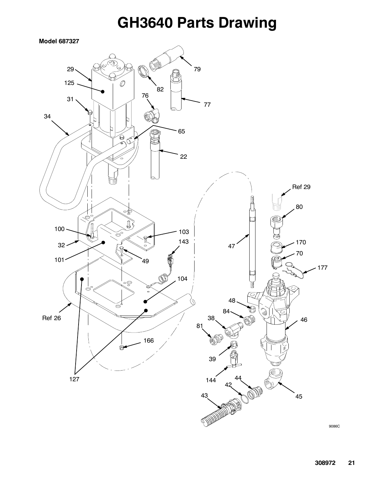### **GH3640 Parts Drawing**

**Model 687327**



9086C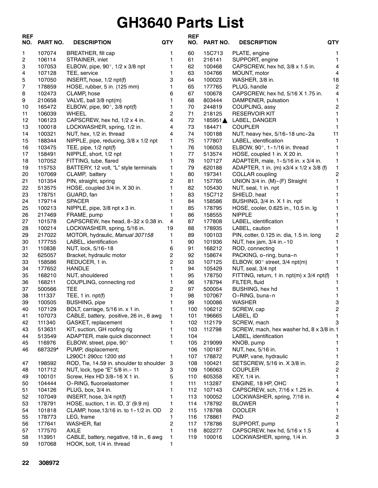### **GH3640 Parts List**

| <b>REF</b><br>NO. | <b>PART NO.</b> | <b>DESCRIPTION</b>                         | <b>QTY</b>     | <b>REF</b><br>NO. | PART NO. | <b>QTY</b><br><b>DESCRIPTION</b>           |                         |
|-------------------|-----------------|--------------------------------------------|----------------|-------------------|----------|--------------------------------------------|-------------------------|
| 1                 | 107074          | BREATHER, fill cap                         | 1              | 60                | 15C713   | PLATE, engine                              | 1.                      |
| 2                 | 106114          | STRAINER, inlet                            | 1              | 61                | 216141   | SUPPORT, engine                            | $\mathbf{1}$            |
| 3                 | 107053          | ELBOW, pipe, 90 $^{\circ}$ , 1/2 x 3/8 npt |                | 62                | 100468   | CAPSCREW, hex hd, 3/8 x 1.5 in.            | $\overline{\mathbf{4}}$ |
| 4                 | 107128          | TEE, service                               | 1              | 63                | 104766   | MOUNT, motor                               | 4                       |
| 5                 | 107050          | INSERT, hose, 1/2 npt(f)                   | 3              | 64                | 100023   | WASHER, 3/8 in.                            | 18                      |
| 7                 | 178859          | HOSE, rubber, 5 in. (125 mm)               | 1              | 65                | 177765   | PLUG, handle                               | $\overline{\mathbf{c}}$ |
| 8                 | 102473          | CLAMP, hose                                | 6              | 67                | 100678   | CAPSCREW, hex hd, 5/16 X 1.75 in.          | 4                       |
| 9                 | 210658          | VALVE, ball 3/8 npt(m)                     | 1              | 68                | 803444   | DAMPENER, pulsation                        | 1                       |
| 10                | 165472          | ELBOW, pipe, $90^\circ$ , $3/8$ npt(f)     | 1              | 70                | 244819   | COUPLING, assy                             | $\overline{\mathbf{c}}$ |
| 11                | 106039          | WHEEL                                      | $\overline{2}$ | 71                | 218125   | <b>RESERVOIR KIT</b>                       | 1                       |
| 12                | 106123          | CAPSCREW, hex hd, 1/2 x 4 in.              | 4              | 72                | 185951▲  | LABEL, DANGER                              | 1                       |
| 13                | 100018          | LOCKWASHER, spring, 1/2 in.                | 4              | 73                | 184471   | <b>COUPLER</b>                             | 1                       |
| 14                | 100321          | NUT, hex, 1/2 in. thread                   | 4              | 74                | 100188   | NUT, heavy hex, 5/16-18 unc-2a             | 11                      |
| 15                | 188344          | NIPPLE, pipe, reducing, 3/8 x 1/2 npt      | $\mathbf{1}$   | 75                | 177807   | LABEL, identification                      | 1                       |
| 16                | 103475          | TEE, pipe, 1/2 npt(f)                      | 1              | 76                | 106053   | ELBOW, 90°, 1-1/16 in. thread              | 1                       |
| 17                | 158491          | NIPPLE, short, 1/2 npt                     | 1              | 77                | 513574   | HOSE, coupled 1 in. X 20 in.               | 1                       |
| 18                | 107052          | FITTING, tube, flared                      | 1              | 78                | 107127   | ADAPTER, male, 1-5/16 in. x 3/4 in.        | 1                       |
| 19                | 115753          | BATTERY, 12 volt, "L" style terminals      | 1              | 79                | 620188   | ADAPTER, 1 in. (m) x3/4 x 1/2 x 3/8 (f)    | 1                       |
| 20                | 107069          | CLAMP, battery                             | 1              | 80                | 197341   | <b>COLLAR</b> coupling                     | $\overline{\mathbf{c}}$ |
| 21                | 101354          | PIN, straight, spring                      | 2              | 81                | 157785   | UNION 3/4 in. (M)-(F) Straight             | 1                       |
| 22                | 513575          | HOSE, coupled 3/4 in. X 30 in.             | 1              | 82                | 105430   | NUT, seal, 1 in. npt                       | 1                       |
| 23                | 178751          | GUARD, fan                                 |                | 83                | 15C712   | SHIELD, heat                               | 1                       |
| 24                | 179714          | <b>SPACER</b>                              |                | 84                | 158586   | BUSHING, 3/4 in. X 1 in. npt               |                         |
| 25                | 100213          | NIPPLE, pipe, 3/8 npt x 3 in.              | 1              | 85                | 178795   | HOSE, cooler, 0.625 in., 10.5 in. lg       | 1                       |
| 26                | 217469          | FRAME, pump                                | 1              | 86                | 158555   | <b>NIPPLE</b>                              | 1                       |
| 27                | 101578          | CAPSCREW, hex head, 8-32 x 0.38 in.        | 4              | 87                | 177808   | LABEL, identification                      | 1                       |
| 28                | 100214          | LOCKWASHER, spring, 5/16 in.               | 19             | 88                | 178935   | LABEL, caution                             | 1                       |
| 29                | 217022          | MOTOR, hydraulic, Manual 307158            | 1              | 89                | 100103   | PIN, cotter, 0.125 in. dia, 1.5 in. long   | $\overline{\mathbf{c}}$ |
| 30                | 177755          | LABEL, identification                      | 1              | 90                | 101936   | NUT, hex jam, 3/4 in.-10                   | 1                       |
| 31                | 110838          | NUT, lock, 5/16-18                         | 6              | 91                | 168212   | ROD, connecting                            | 1                       |
| 32                | 625057          | Bracket, hydraulic motor                   | 2              | 92                | 158674   | PACKING, o-ring, buna-n                    | 1                       |
| 33                | 158586          | REDUCER, 1 in.                             | $\overline{2}$ | 93                | 107125   | ELBOW, 90° street, 3/4 npt(m)              | 1                       |
| 34                | 177652          | <b>HANDLE</b>                              | 1              | 94                | 105429   | NUT, seal, 3/4 npt                         | 1.                      |
| 35                | 168210          | NUT, shouldered                            | 1              | 95                | 178750   | FITTING, return, 1 in. npt(m) x 3/4 npt(f) | 1                       |
| 36                | 168211          | COUPLING, connecting rod                   | 1              | 96                | 178794   | FILTER, fluid                              | 1                       |
| 37                | 500566          | <b>TEE</b>                                 | 2              | 97                | 500054   | BUSHING, hex hd                            | 1                       |
| 38                | 111337          | TEE, $1$ in. $npt(f)$                      |                | 98                | 107067   | O-RING, buna-n                             | 1                       |
| 39                | 100505          | <b>BUSHING, pipe</b>                       | 1              | 99                | 100086   | <b>WASHER</b>                              | 3                       |
| 40                | 107129          | BOLT, carriage, 5/16 in. x 1 in.           | 1              | 100               | 106212   | SCREW, cap                                 | $\overline{a}$          |
| 41                | 107073          | CABLE, battery, positive, 26 in., 6 awg    | 1              | 101               | 196665   | LABEL, ID                                  | 1                       |
| 42                | 111340          | GASKET, replacement                        | 1              | 102               | 112179   | SCREW, mach                                | 3                       |
| 43                | 513631          | KIT, suction, GH roofing rig               | 1              | 103               | 112798   | SCREW, mach, hex washer hd, 8 x 3/8 in. 1  |                         |
| 44                | 513549          | ADAPTER, male quick disconnect             | 1              | 104               |          | LABEL, identification                      | 1                       |
| 45                | 116976          | ELBOW, street, pipe, 90°                   | 1              | 105               | 219099   | KNOB, pump                                 | $\mathbf{1}$            |
| 46                | 687329*         | PUMP, displacement;                        |                | 106               | 100187   | NUT, hex, 5/16 in.                         | 1.                      |
|                   |                 | L290C1 290cc 1200 std                      | 1              | 107               | 178872   | PUMP, vane, hydraulic                      | 1                       |
| 47                | 198592          | ROD, Tie, 14.59 in. shoulder to shoulder   | 3              | 108               | 100421   | SETSCREW, 5/16 in. X 3/8 in.               | 2                       |
| 48                | 101712          | NUT, lock, type "E" 5/8 in.- 11            | 3              | 109               | 106063   | <b>COUPLER</b>                             | $\overline{c}$          |
| 49                | 100101          | Screw, Hex HD 3/8-16 X 1 in.               | 5              | 110               | 605358   | KEY, 1/4 in.                               | 1.                      |
| 50                | 104444          | O-RING, fluoroelastomer                    | 1              | 111               | 113287   | ENGINE, 18 HP, OHC                         | 1                       |
| 51                | 104126          | PLUG, box, 3/4 in.                         |                | 112               | 107143   | CAPSCREW, sch, 7/16 x 1.25 in.             | 4                       |
| 52                | 107049          | INSERT, hose, 3/4 npt(f)                   | 1              | 113               | 100052   | LOCKWASHER, spring, 7/16 in.               | 4                       |
| 53                | 178791          | HOSE, suction, 1 in. ID, 3' (9.9 m)        | 1              | 114               | 178792   | <b>BLOWER</b>                              | 1                       |
| 54                | 101818          | CLAMP, hose, 13/16 in. to 1-1/2 in. OD     | 2              | 115               | 178788   | <b>COOLER</b>                              | 1                       |
| 55                | 178773          | LEG, frame                                 | 1              | 116               | 178861   | <b>PAD</b>                                 | 2                       |
| 56                | 177641          | WASHER, flat                               | 2              | 117               | 178786   | SUPPORT, pump                              | 1                       |
| 57                | 177570          | <b>AXLE</b>                                | 1              | 118               | 802277   | CAPSCREW, hex hd, 5/16 x 1.5               | 4                       |
| 58                | 113951          | CABLE, battery, negative, 18 in., 6 awg    | 1              | 119               | 100016   | LOCKWASHER, spring, 1/4 in.                | 3                       |
| 59                | 107068          | HOOK, bolt, 1/4 in. thread                 | 1              |                   |          |                                            |                         |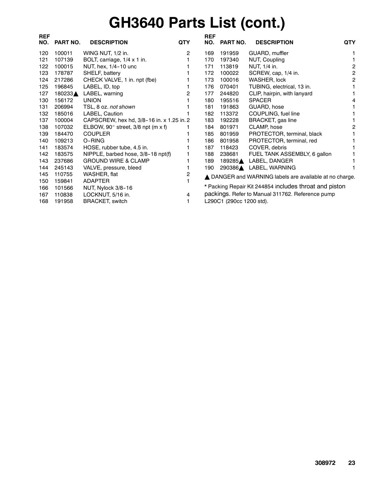# **GH3640 Parts List (cont.)**

| <b>REF</b> |                 |                                              |              | <b>REF</b> |                          |                                                         |                |
|------------|-----------------|----------------------------------------------|--------------|------------|--------------------------|---------------------------------------------------------|----------------|
| NO.        | <b>PART NO.</b> | <b>DESCRIPTION</b>                           | <b>QTY</b>   | NO.        | <b>PART NO.</b>          | <b>DESCRIPTION</b>                                      | QTY            |
| 120        | 100011          | WING NUT, 1/2 in.                            | $\mathbf{2}$ | 169        | 191959                   | GUARD, muffler                                          |                |
| 121        | 107139          | BOLT, carriage, 1/4 x 1 in.                  |              | 170        | 197340                   | NUT, Coupling                                           |                |
| 122        | 100015          | NUT, hex, 1/4-10 unc                         |              | 171        | 113819                   | NUT, 1/4 in.                                            | 2              |
| 123        | 178787          | SHELF, battery                               |              | 172        | 100022                   | SCREW, cap, 1/4 in.                                     | $\overline{c}$ |
| 124        | 217286          | CHECK VALVE, 1 in. npt (fbe)                 |              | 173        | 100016                   | <b>WASHER, lock</b>                                     | 2              |
| 125        | 196845          | LABEL, ID, top                               |              | 176        | 070401                   | TUBING, electrical, 13 in.                              |                |
| 127        | 180233▲         | LABEL, warning                               | 2            | 177        | 244820                   | CLIP, hairpin, with lanyard                             |                |
| 130        | 156172          | <b>UNION</b>                                 |              | 180        | 195516                   | <b>SPACER</b>                                           |                |
| 131        | 206994          | TSL, 8 oz. not shown                         |              | 181        | 191863                   | GUARD, hose                                             |                |
| 132        | 185016          | LABEL, Caution                               |              | 182        | 113372                   | COUPLING, fuel line                                     |                |
| 137        | 100004          | CAPSCREW, hex hd, 3/8-16 in. x 1.25 in. 2    |              | 183        | 192228                   | BRACKET, gas line                                       |                |
| 138        | 107032          | ELBOW, 90 $^{\circ}$ street, 3/8 npt (m x f) |              | 184        | 801971                   | CLAMP, hose                                             | 2              |
| 139        | 184470          | <b>COUPLER</b>                               |              | 185        | 801959                   | PROTECTOR, terminal, black                              |                |
| 140        | 109213          | O-RING                                       |              | 186        | 801958                   | PROTECTOR, terminal, red                                |                |
| 141        | 183574          | HOSE, rubber tube, 4.5 in.                   |              | 187        | 118423                   | COVER, debris                                           |                |
| 142        | 183575          | NIPPLE, barbed hose, 3/8-18 npt(f)           |              | 188        | 238681                   | FUEL TANK ASSEMBLY, 6 gallon                            |                |
| 143        | 237686          | <b>GROUND WIRE &amp; CLAMP</b>               |              | 189        | 189285▲                  | LABEL, DANGER                                           |                |
| 144        | 245143          | VALVE, pressure, bleed                       |              | 190        |                          | 290386▲ LABEL, WARNING                                  |                |
| 145        | 110755          | WASHER, flat                                 | 2            |            |                          | ▲ DANGER and WARNING labels are available at no charge. |                |
| 150        | 159841          | <b>ADAPTER</b>                               |              |            |                          |                                                         |                |
| 166        | 101566          | NUT, Nylock 3/8-16                           |              |            |                          | * Packing Repair Kit 244854 includes throat and piston  |                |
| 167        | 110838          | LOCKNUT, 5/16 in.                            | 4            |            |                          | packings. Refer to Manual 311762. Reference pump        |                |
| 168        | 191958          | BRACKET, switch                              | 1.           |            | L290C1 (290cc 1200 std). |                                                         |                |
|            |                 |                                              |              |            |                          |                                                         |                |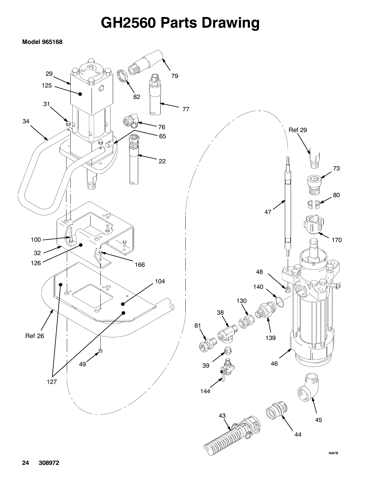### **GH2560 Parts Drawing**

**Model 965168**



**9087B**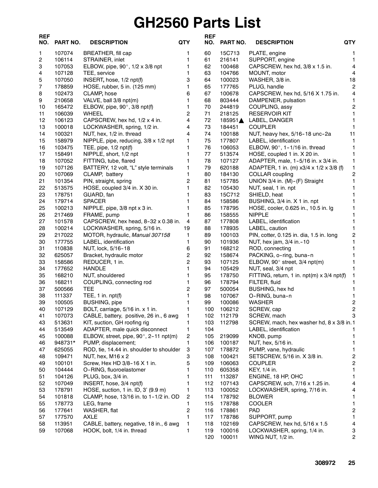## **GH2560 Parts List**

| <b>REF</b><br>NO. | PART NO.         | <b>DESCRIPTION</b>                             | <b>QTY</b>              | <b>REF</b><br>NO. | PART NO.         | <b>QTY</b><br><b>DESCRIPTION</b>                     |                                        |
|-------------------|------------------|------------------------------------------------|-------------------------|-------------------|------------------|------------------------------------------------------|----------------------------------------|
| 1                 | 107074           | BREATHER, fill cap                             | 1                       | 60                | 15C713           | PLATE, engine                                        | 1                                      |
| 2                 | 106114           | STRAINER, inlet                                | 1                       | 61                | 216141           | SUPPORT, engine                                      | 1                                      |
| 3                 | 107053           | ELBOW, pipe, 90°, 1/2 x 3/8 npt                | 1                       | 62                | 100468           | CAPSCREW, hex hd, 3/8 x 1.5 in.                      | $\overline{\mathbf{4}}$                |
| 4                 | 107128           | TEE, service                                   | 1                       | 63                | 104766           | MOUNT, motor                                         | 4                                      |
| 5                 | 107050           | INSERT, hose, 1/2 npt(f)                       | 3                       | 64                | 100023           | WASHER, 3/8 in.                                      | 18                                     |
| 7                 | 178859           | HOSE, rubber, 5 in. (125 mm)                   | 1                       | 65                | 177765           | PLUG, handle                                         | $\overline{c}$                         |
| 8                 | 102473           | CLAMP, hose                                    | 6                       | 67                | 100678           | CAPSCREW, hex hd, 5/16 X 1.75 in.                    | 4                                      |
| 9                 | 210658           | VALVE, ball 3/8 npt(m)                         | $\mathbf{1}$            | 68                | 803444           | DAMPENER, pulsation                                  | 1                                      |
| 10                | 165472           | ELBOW, pipe, 90°, 3/8 npt(f)                   | 1                       | 70                | 244819           | COUPLING, assy                                       | 2                                      |
| 11                | 106039           | <b>WHEEL</b>                                   | 2                       | 71                | 218125           | <b>RESERVOIR KIT</b>                                 | 1                                      |
| 12                | 106123           | CAPSCREW, hex hd, 1/2 x 4 in.                  | 4                       | 72                | 185951▲          | LABEL, DANGER                                        | 1                                      |
| 13                | 100018           | LOCKWASHER, spring, 1/2 in.                    | 4                       | 73                | 184451           | <b>COUPLER</b>                                       | 1                                      |
| 14                | 100321           | NUT, hex, 1/2 in. thread                       | 4                       | 74                | 100188           | NUT, heavy hex, 5/16-18 unc-2a                       | 11                                     |
| 15                | 158979           | NIPPLE, pipe, reducing, 3/8 x 1/2 npt          | 1                       | 75                | 177807           | LABEL, identification                                | 1                                      |
| 16                | 103475           | TEE, pipe, $1/2$ npt(f)                        | 1                       | 76                | 106053           | ELBOW, $90^\circ$ , 1-1/16 in. thread                | 1                                      |
| 17                | 158491           | NIPPLE, short, 1/2 npt                         | 1                       | 77                | 513574           | HOSE, coupled 1 in. X 20 in.                         | 1                                      |
| 18                | 107052           | FITTING, tube, flared                          | 1                       | 78                | 107127           | ADAPTER, male, 1-5/16 in. x 3/4 in.                  | 1                                      |
| 19                | 107126           | BATTERY, 12 volt, "L" style terminals          | 1                       | 79                | 620188           | ADAPTER, 1 in. (m) x3/4 x 1/2 x 3/8 (f)              | 1                                      |
| 20                | 107069           | CLAMP, battery                                 | 1                       | 80                | 184130           | COLLAR coupling                                      | 2                                      |
| 21                | 101354           | PIN, straight, spring                          | 2                       | 81                | 157785           | UNION 3/4 in. (M)-(F) Straight                       | 1                                      |
| 22                | 513575           | HOSE, coupled 3/4 in. X 30 in.                 | 1                       | 82                | 105430           | NUT, seal, 1 in. npt                                 | 1                                      |
| 23                | 178751           | GUARD, fan                                     | 1                       | 83                | 15C712           | SHIELD, heat                                         |                                        |
| 24                | 179714           | <b>SPACER</b>                                  | 1                       | 84                | 158586           | BUSHING, 3/4 in. X 1 in. npt                         | 1                                      |
| 25                | 100213           | NIPPLE, pipe, 3/8 npt x 3 in.                  | 1                       | 85                | 178795           | HOSE, cooler, 0.625 in., 10.5 in. lg                 | 1                                      |
| 26                | 217469           | FRAME, pump                                    | 1                       | 86                | 158555           | <b>NIPPLE</b>                                        | 1                                      |
| 27                | 101578           | CAPSCREW, hex head, 8-32 x 0.38 in.            | 4                       | 87                | 177808           | LABEL, identification                                | 1                                      |
| 28                | 100214           | LOCKWASHER, spring, 5/16 in.                   | 19                      | 88                | 178935           | LABEL, caution                                       | 1                                      |
| 29                | 217022           | MOTOR, hydraulic, Manual 307158                | 1                       | 89                | 100103           | PIN, cotter, 0.125 in. dia, 1.5 in. long             | $\overline{\mathbf{c}}$                |
| 30                | 177755           | LABEL, identification                          | 1                       | 90                | 101936           | NUT, hex jam, 3/4 in. - 10                           | 1                                      |
| 31                | 110838           | NUT, lock, 5/16-18                             | 6                       | 91                | 168212           | ROD, connecting                                      | 1                                      |
| 32                | 625057           | Bracket, hydraulic motor                       | $\overline{\mathbf{c}}$ | 92                | 158674           | PACKING, o-ring, buna-n                              | 1                                      |
| 33                | 158586           | REDUCER, 1 in.                                 | $\overline{2}$          | 93                | 107125           | ELBOW, 90° street, 3/4 npt(m)                        | 1                                      |
| 34                | 177652           | <b>HANDLE</b>                                  | 1                       | 94                | 105429           | NUT, seal, 3/4 npt                                   |                                        |
| 35                | 168210           | NUT, shouldered                                | 1                       | 95                | 178750           | FITTING, return, 1 in. $npt(m) \times 3/4$ npt(f)    | 1                                      |
| 36                | 168211           | COUPLING, connecting rod                       | 1                       | 96                | 178794           | FILTER, fluid                                        | 1                                      |
| 37                | 500566           | TEE                                            | $\overline{c}$          | 97                | 500054           | BUSHING, hex hd                                      | 1                                      |
| 38                | 111337           | TEE, 1 in. npt(f)                              | 1                       | 98                | 107067           | O-RING, buna-n                                       | 1                                      |
| 39                | 100505           | <b>BUSHING, pipe</b>                           | 1                       | 99                | 100086           | <b>WASHER</b>                                        | $\mathbf 2$                            |
| 40                | 107129           | BOLT, carriage, 5/16 in. x 1 in.               | 1                       | 100               | 106212           | SCREW, cap                                           | $\overline{c}$                         |
| 41                | 107073           | CABLE, battery, positive, 26 in., 6 awg        | 1                       | 102               | 112179           | SCREW, mach                                          | 3                                      |
| 43                | 513631           | KIT, suction, GH roofing rig                   | 1                       | 103               | 112798           | SCREW, mach, hex washer hd, 8 x 3/8 in.1             |                                        |
| 44                | 513549           | ADAPTER, male quick disconnect                 | 1                       | 104               |                  | LABEL, identification                                | 1                                      |
| 45                | 100088           | ELBOW, street, pipe, 90°, 2-11 npt(m)          | 2                       | 105               | 219099           | KNOB, pump                                           | $\mathbf{1}$                           |
| 46                | 948731*          | PUMP, displacement;                            | 1                       | 106               | 100187           | NUT, hex, 5/16 in.                                   | 1                                      |
| 47                | 625055           | ROD, tie, 14.44 in. shoulder to shoulder       | 3                       | 107               | 178872           | PUMP, vane, hydraulic                                | 1                                      |
| 48                | 109471           | NUT, hex, M16 $\times$ 2                       | 3                       | 108               | 100421           | SETSCREW, 5/16 in. X 3/8 in.<br><b>COUPLER</b>       | $\overline{\mathbf{c}}$<br>$\mathbf 2$ |
| 49                | 100101           | Screw, Hex HD 3/8-16 X 1 in.                   | 5<br>1                  | 109               | 106063           | KEY, 1/4 in.                                         |                                        |
| 50                | 104444           | O-RING, fluoroelastomer                        | 1                       | 110               | 605358           |                                                      | 1                                      |
| 51<br>52          | 104126<br>107049 | PLUG, box, 3/4 in.<br>INSERT, hose, 3/4 npt(f) | 1                       | 111<br>112        | 113287<br>107143 | ENGINE, 18 HP, OHC<br>CAPSCREW, sch, 7/16 x 1.25 in. | 1<br>4                                 |
| 53                | 178791           | HOSE, suction, 1 in. ID, 3' (9.9 m)            | 1                       | 113               | 100052           |                                                      | 4                                      |
| 54                | 101818           | CLAMP, hose, 13/16 in. to 1-1/2 in. OD         | $\overline{2}$          | 114               |                  | LOCKWASHER, spring, 7/16 in.<br><b>BLOWER</b>        | 1                                      |
| 55                | 178773           | LEG, frame                                     | 1                       | 115               | 178792<br>178788 | <b>COOLER</b>                                        | 1                                      |
| 56                | 177641           | WASHER, flat                                   | $\overline{c}$          | 116               | 178861           | <b>PAD</b>                                           | $\overline{\mathbf{c}}$                |
| 57                | 177570           | <b>AXLE</b>                                    | 1                       | 117               | 178786           | SUPPORT, pump                                        | 1.                                     |
| 58                | 113951           | CABLE, battery, negative, 18 in., 6 awg        | 1                       | 118               | 102169           | CAPSCREW, hex hd, 5/16 x 1.5                         | $\overline{\mathbf{4}}$                |
| 59                | 107068           | HOOK, bolt, 1/4 in. thread                     | 1                       | 119               | 100016           | LOCKWASHER, spring, 1/4 in.                          | 3                                      |
|                   |                  |                                                |                         | 120               | 100011           | WING NUT, 1/2 in.                                    | 2                                      |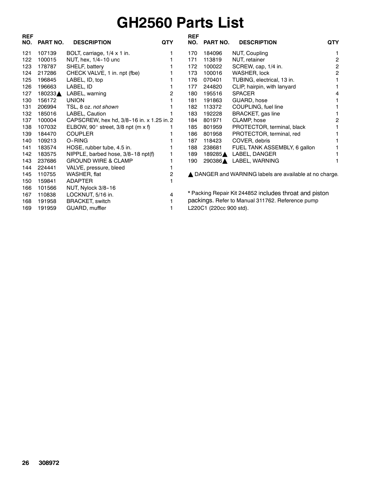### **GH2560 Parts List**

| <b>REF</b><br>NO. | PART NO. | <b>DESCRIPTION</b>                           | <b>QTY</b> | <b>REF</b><br>NO. | <b>PART NO.</b>         | <b>DESCRIPTION</b>                                      | <b>QTY</b> |
|-------------------|----------|----------------------------------------------|------------|-------------------|-------------------------|---------------------------------------------------------|------------|
| 121               | 107139   | BOLT, carriage, 1/4 x 1 in.                  |            | 170               | 184096                  | NUT, Coupling                                           |            |
| 122               | 100015   | NUT, hex, 1/4-10 unc                         |            | 171               | 113819                  | NUT, retainer                                           | 2          |
| 123               | 178787   | SHELF, battery                               |            | 172               | 100022                  | SCREW, cap, 1/4 in.                                     | 2          |
| 124               | 217286   | CHECK VALVE, 1 in. npt (fbe)                 |            | 173               | 100016                  | WASHER, lock                                            |            |
| 125               | 196845   | LABEL, ID, top                               |            | 176               | 070401                  | TUBING, electrical, 13 in.                              |            |
| 126               | 196663   | LABEL, ID                                    |            | 177               | 244820                  | CLIP, hairpin, with lanyard                             |            |
| 127               | 180233▲  | LABEL, warning                               | 2          | 180               | 195516                  | <b>SPACER</b>                                           |            |
| 130               | 156172   | <b>UNION</b>                                 |            | 181               | 191863                  | GUARD, hose                                             |            |
| 131               | 206994   | TSL, 8 oz. not shown                         |            | 182               | 113372                  | COUPLING, fuel line                                     |            |
| 132               | 185016   | LABEL, Caution                               |            | 183               | 192228                  | BRACKET, gas line                                       |            |
| 137               | 100004   | CAPSCREW, hex hd, 3/8-16 in. x 1.25 in. 2    |            | 184               | 801971                  | CLAMP, hose                                             |            |
| 138               | 107032   | ELBOW, 90 $^{\circ}$ street, 3/8 npt (m x f) |            | 185               | 801959                  | PROTECTOR, terminal, black                              |            |
| 139               | 184470   | <b>COUPLER</b>                               |            | 186               | 801958                  | PROTECTOR, terminal, red                                |            |
| 140               | 109213   | O-RING                                       |            | 187               | 118423                  | COVER, debris                                           |            |
| 141               | 183574   | HOSE, rubber tube, 4.5 in.                   |            | 188               | 238681                  | FUEL TANK ASSEMBLY, 6 gallon                            |            |
| 142               | 183575   | NIPPLE, barbed hose, 3/8-18 npt(f)           |            | 189               | 189285▲                 | LABEL, DANGER                                           |            |
| 143               | 237686   | <b>GROUND WIRE &amp; CLAMP</b>               |            | 190               | 290386                  | LABEL, WARNING                                          |            |
| 144               | 224441   | VALVE, pressure, bleed                       |            |                   |                         |                                                         |            |
| 145               | 110755   | WASHER, flat                                 | 2          |                   |                         | ▲ DANGER and WARNING labels are available at no charge. |            |
| 150               | 159841   | ADAPTER                                      |            |                   |                         |                                                         |            |
| 166               | 101566   | NUT, Nylock 3/8-16                           |            |                   |                         |                                                         |            |
| 167               | 110838   | LOCKNUT, 5/16 in.                            | 4          |                   |                         | * Packing Repair Kit 244852 includes throat and piston  |            |
| 168               | 191958   | <b>BRACKET, switch</b>                       |            |                   |                         | packings. Refer to Manual 311762. Reference pump        |            |
| 169               | 191959   | GUARD, muffler                               |            |                   | L220C1 (220cc 900 std). |                                                         |            |

L220C1 (220cc 900 std).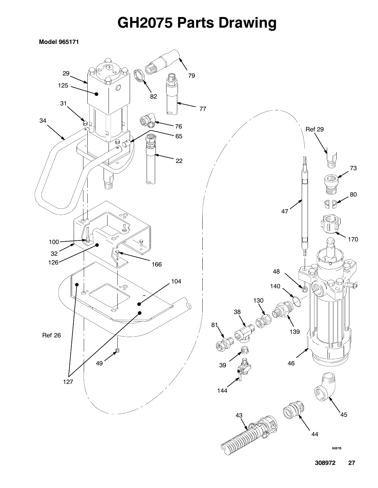### **GH2075 Parts Drawing**

**Model 965171**

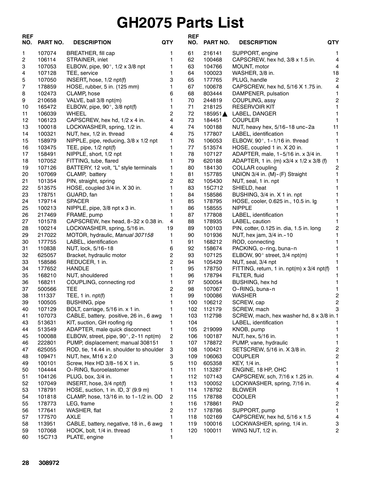### **GH2075 Parts List**

| <b>REF</b><br>NO. | <b>PART NO.</b>  | <b>DESCRIPTION</b>                       | <b>QTY</b>     | <b>REF</b><br>NO. | PART NO.         | <b>DESCRIPTION</b>                                    | <b>QTY</b>              |
|-------------------|------------------|------------------------------------------|----------------|-------------------|------------------|-------------------------------------------------------|-------------------------|
| 1                 | 107074           | BREATHER, fill cap                       | 1              | 61                | 216141           | SUPPORT, engine                                       | 1                       |
| 2                 | 106114           | STRAINER, inlet                          | 1              | 62                | 100468           | CAPSCREW, hex hd, 3/8 x 1.5 in.                       | $\overline{\mathbf{4}}$ |
| 3                 | 107053           | ELBOW, pipe, 90°, 1/2 x 3/8 npt          | 1              | 63                | 104766           | MOUNT, motor                                          | 4                       |
| 4                 | 107128           | TEE, service                             | 1              | 64                | 100023           | WASHER, 3/8 in.                                       | 18                      |
| 5                 | 107050           | INSERT, hose, 1/2 npt(f)                 | 3              | 65                | 177765           | PLUG, handle                                          | 2                       |
| 7                 | 178859           | HOSE, rubber, 5 in. (125 mm)             | 1              | 67                | 100678           | CAPSCREW, hex hd, 5/16 X 1.75 in.                     | 4                       |
| 8                 | 102473           | CLAMP, hose                              | 6              | 68                | 803444           | DAMPENER, pulsation                                   | 1                       |
| 9                 | 210658           | VALVE, ball 3/8 npt(m)                   | 1              | 70                | 244819           | COUPLING, assy                                        | $\overline{c}$          |
| 10                | 165472           | ELBOW, pipe, $90^\circ$ , 3/8 npt(f)     | 1              | 71                | 218125           | <b>RESERVOIR KIT</b>                                  |                         |
| 11                | 106039           | <b>WHEEL</b>                             | $\overline{2}$ | 72                | 185951▲          | LABEL, DANGER                                         | 1                       |
| 12                | 106123           | CAPSCREW, hex hd, 1/2 x 4 in.            | 4              | 73                | 184451           | <b>COUPLER</b>                                        |                         |
| 13                | 100018           | LOCKWASHER, spring, 1/2 in.              | 4              | 74                | 100188           | NUT, heavy hex, 5/16-18 unc-2a                        | 11                      |
| 14                | 100321           | NUT, hex, 1/2 in. thread                 | 4              | 75                | 177807           | LABEL, identification                                 |                         |
| 15                | 158979           | NIPPLE, pipe, reducing, 3/8 x 1/2 npt    | 1              | 76                | 106053           | ELBOW, 90°, 1-1/16 in. thread                         | 1                       |
| 16                | 103475           | TEE, pipe, 1/2 npt(f)                    | 1              | 77                | 513574           | HOSE, coupled 1 in. X 20 in.                          | 1                       |
| 17                | 158491           | NIPPLE, short, 1/2 npt                   | 1              | 78                | 107127           | ADAPTER, male, 1-5/16 in. x 3/4 in.                   | 1                       |
| 18                | 107052           | FITTING, tube, flared                    | 1              | 79                | 620188           | ADAPTER, 1 in. (m) x3/4 x 1/2 x 3/8 (f)               | 1                       |
| 19                | 107126           | BATTERY, 12 volt, "L" style terminals    | 1              | 80                | 184130           | COLLAR coupling                                       | 2                       |
| 20                | 107069           | CLAMP, battery                           | 1              | 81                | 157785           | UNION 3/4 in. (M)-(F) Straight                        | $\mathbf{1}$            |
| 21                | 101354           | PIN, straight, spring                    | 2<br>1         | 82<br>83          | 105430<br>15C712 | NUT, seal, 1 in. npt                                  | 1                       |
| 22                | 513575<br>178751 | HOSE, coupled 3/4 in. X 30 in.           | 1              | 84                |                  | SHIELD, heat                                          | 1                       |
| 23                | 179714           | GUARD, fan<br><b>SPACER</b>              | 1              | 85                | 158586           | BUSHING, 3/4 in. X 1 in. npt                          |                         |
| 24<br>25          | 100213           | NIPPLE, pipe, 3/8 npt x 3 in.            | 1              | 86                | 178795<br>158555 | HOSE, cooler, 0.625 in., 10.5 in. Ig<br><b>NIPPLE</b> | 1                       |
| 26                | 217469           | FRAME, pump                              | 1              | 87                | 177808           | LABEL, identification                                 |                         |
| 27                | 101578           | CAPSCREW, hex head, 8-32 x 0.38 in.      | 4              | 88                | 178935           | LABEL, caution                                        | 1                       |
| 28                | 100214           | LOCKWASHER, spring, 5/16 in.             | 19             | 89                | 100103           | PIN, cotter, 0.125 in. dia, 1.5 in. long              | 2                       |
| 29                | 217022           | MOTOR, hydraulic, Manual 307158          | 1              | 90                | 101936           | NUT, hex jam, 3/4 in. - 10                            | 1                       |
| 30                | 177755           | LABEL, identification                    | 1              | 91                | 168212           | ROD, connecting                                       |                         |
| 31                | 110838           | NUT, lock, 5/16-18                       | 6              | 92                | 158674           | PACKING, o-ring, buna-n                               |                         |
| 32                | 625057           | Bracket, hydraulic motor                 | 2              | 93                | 107125           | ELBOW, 90° street, 3/4 npt(m)                         |                         |
| 33                | 158586           | REDUCER, 1 in.                           | $\overline{c}$ | 94                | 105429           | NUT, seal, 3/4 npt                                    |                         |
| 34                | 177652           | <b>HANDLE</b>                            | 1              | 95                | 178750           | FITTING, return, 1 in. npt(m) x 3/4 npt(f)            |                         |
| 35                | 168210           | NUT, shouldered                          | 1              | 96                | 178794           | FILTER, fluid                                         |                         |
| 36                | 168211           | COUPLING, connecting rod                 | 1              | 97                | 500054           | BUSHING, hex hd                                       | 1                       |
| 37                | 500566           | TEE                                      | 2              | 98                | 107067           | O-RING, buna-n                                        | 1                       |
| 38                | 111337           | $TEE$ , 1 in. $npt(f)$                   | 1              | 99                | 100086           | <b>WASHER</b>                                         | 2                       |
| 39                | 100505           | <b>BUSHING, pipe</b>                     | 1              | 100               | 106212           | SCREW, cap                                            | 2                       |
| 40                | 107129           | BOLT, carriage, 5/16 in. x 1 in.         | 1              | 102               | 112179           | SCREW, mach                                           | 3                       |
| 41                | 107073           | CABLE, battery, positive, 26 in., 6 awg  | 1              | 103               | 112798           | SCREW, mach, hex washer hd, 8 x 3/8 in.1              |                         |
| 43                | 513631           | KIT, suction, GH roofing rig             | 1              | 104               |                  | LABEL, identification                                 |                         |
| 44                | 513549           | ADAPTER, male quick disconnect           | 1              | 105               | 219099           | KNOB, pump                                            | 1                       |
| 45                | 100088           | ELBOW, street, pipe, 90°, 2-11 npt(m)    | 2              | 106               | 100187           | NUT, hex, 5/16 in.                                    | 1                       |
| 46                | 222801           | PUMP, displacement; manual 308151        | 1              | 107               | 178872           | PUMP, vane, hydraulic                                 | $\mathbf{1}$            |
| 47                | 625055           | ROD, tie, 14.44 in. shoulder to shoulder | 3              | 108               | 100421           | SETSCREW, 5/16 in. X 3/8 in.                          | 2                       |
| 48                | 109471           | NUT, hex, M16 x 2.0                      | 3              | 109               | 106063           | <b>COUPLER</b>                                        | 2                       |
| 49                | 100101           | Screw, Hex HD 3/8-16 X 1 in.             | 5              | 110               | 605358           | KEY, 1/4 in.                                          | 1                       |
| 50                | 104444           | O-RING, fluoroelastomer                  | 1              | 111               | 113287           | ENGINE, 18 HP, OHC                                    | 1                       |
| 51                | 104126           | PLUG, box, 3/4 in.                       | 1              | 112               | 107143           | CAPSCREW, sch, 7/16 x 1.25 in.                        | 4                       |
| 52                | 107049           | INSERT, hose, 3/4 npt(f)                 | 1              | 113               | 100052           | LOCKWASHER, spring, 7/16 in.                          | 4                       |
| 53                | 178791           | HOSE, suction, 1 in. ID, 3' (9.9 m)      | 1              | 114               | 178792           | <b>BLOWER</b>                                         | 1                       |
| 54                | 101818           | CLAMP, hose, 13/16 in. to 1-1/2 in. OD   | 2              | 115               | 178788           | COOLER                                                | 1                       |
| 55                | 178773           | LEG, frame                               | 1              | 116               | 178861           | <b>PAD</b>                                            | $\boldsymbol{2}$        |
| 56                | 177641           | WASHER, flat                             | 2              | 117               | 178786           | SUPPORT, pump                                         | 1                       |
| 57                | 177570           | AXLE                                     | 1              | 118               | 102169           | CAPSCREW, hex hd, 5/16 x 1.5                          | $\overline{4}$          |
| 58                | 113951           | CABLE, battery, negative, 18 in., 6 awg  | 1              | 119               | 100016           | LOCKWASHER, spring, 1/4 in.                           | 3                       |
| 59                | 107068           | HOOK, bolt, 1/4 in. thread               | 1              | 120               | 100011           | WING NUT, 1/2 in.                                     | 2                       |
| 60                | 15C713           | PLATE, engine                            | 1              |                   |                  |                                                       |                         |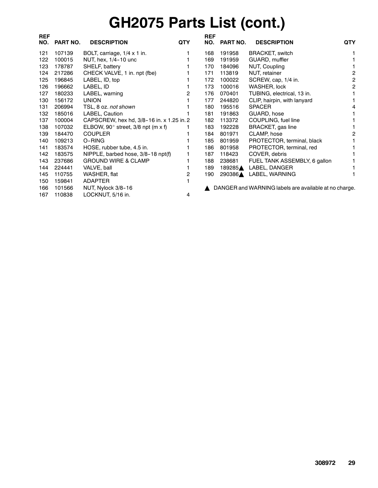# **GH2075 Parts List (cont.)**

| <b>REF</b> |          |                                              |            | <b>REF</b> |          |                                                       |            |
|------------|----------|----------------------------------------------|------------|------------|----------|-------------------------------------------------------|------------|
| NO.        | PART NO. | <b>DESCRIPTION</b>                           | <b>QTY</b> | NO.        | PART NO. | <b>DESCRIPTION</b>                                    | <b>QTY</b> |
| 121        | 107139   | BOLT, carriage, 1/4 x 1 in.                  |            | 168        | 191958   | <b>BRACKET, switch</b>                                |            |
| 122        | 100015   | NUT, hex, 1/4-10 unc                         |            | 169        | 191959   | GUARD, muffler                                        |            |
| 123        | 178787   | SHELF, battery                               |            | 170        | 184096   | NUT, Coupling                                         |            |
| 124        | 217286   | CHECK VALVE, 1 in. npt (fbe)                 |            | 171        | 113819   | NUT, retainer                                         | 2          |
| 125        | 196845   | LABEL, ID, top                               |            | 172        | 100022   | SCREW, cap, 1/4 in.                                   | 2          |
| 126        | 196662   | LABEL, ID                                    |            | 173        | 100016   | WASHER, lock                                          | 2          |
| 127        | 180233   | LABEL, warning                               | 2          | 176        | 070401   | TUBING, electrical, 13 in.                            |            |
| 130        | 156172   | <b>UNION</b>                                 |            | 177        | 244820   | CLIP, hairpin, with lanyard                           |            |
| 131        | 206994   | TSL, 8 oz. not shown                         |            | 180        | 195516   | <b>SPACER</b>                                         |            |
| 132        | 185016   | LABEL, Caution                               |            | 181        | 191863   | GUARD, hose                                           |            |
| 137        | 100004   | CAPSCREW, hex hd, 3/8-16 in. x 1.25 in. 2    |            | 182        | 113372   | COUPLING, fuel line                                   |            |
| 138        | 107032   | ELBOW, 90 $^{\circ}$ street, 3/8 npt (m x f) |            | 183        | 192228   | BRACKET, gas line                                     |            |
| 139        | 184470   | <b>COUPLER</b>                               |            | 184        | 801971   | CLAMP, hose                                           | 2          |
| 140        | 109213   | O-RING                                       |            | 185        | 801959   | PROTECTOR, terminal, black                            |            |
| 141        | 183574   | HOSE, rubber tube, 4.5 in.                   |            | 186        | 801958   | PROTECTOR, terminal, red                              |            |
| 142        | 183575   | NIPPLE, barbed hose, 3/8-18 npt(f)           |            | 187        | 118423   | COVER, debris                                         |            |
| 143        | 237686   | <b>GROUND WIRE &amp; CLAMP</b>               |            | 188        | 238681   | FUEL TANK ASSEMBLY, 6 gallon                          |            |
| 144        | 224441   | VALVE, ball                                  |            | 189        | 189285▲  | LABEL, DANGER                                         |            |
| 145        | 110755   | WASHER, flat                                 | 2          | 190        | 290386▲  | LABEL, WARNING                                        |            |
| 150        | 159841   | <b>ADAPTER</b>                               |            |            |          |                                                       |            |
| 166        | 101566   | NUT, Nylock 3/8-16                           |            |            |          | DANGER and WARNING labels are available at no charge. |            |
| 167        | 110838   | LOCKNUT, 5/16 in.                            | 4          |            |          |                                                       |            |
|            |          |                                              |            |            |          |                                                       |            |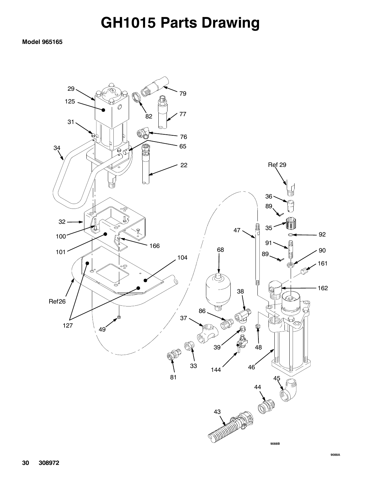### **GH1015 Parts Drawing**

#### **Model 965165**

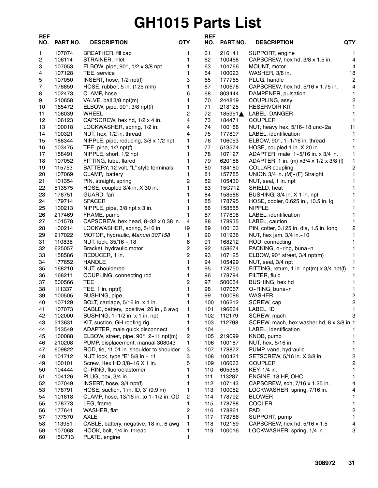## **GH1015 Parts List**

| <b>REF</b><br>NO. | PART NO.         | <b>DESCRIPTION</b>                         | <b>QTY</b>          | <b>REF</b><br>NO. | PART NO.         | QTY<br><b>DESCRIPTION</b>                  |                         |
|-------------------|------------------|--------------------------------------------|---------------------|-------------------|------------------|--------------------------------------------|-------------------------|
| 1                 | 107074           | <b>BREATHER, fill cap</b>                  | 1                   | 61                | 216141           | SUPPORT, engine                            | 1                       |
| 2                 | 106114           | STRAINER, inlet                            | 1                   | 62                | 100468           | CAPSCREW, hex hd, 3/8 x 1.5 in.            | $\overline{\mathbf{4}}$ |
| 3                 | 107053           | ELBOW, pipe, 90 $^{\circ}$ , 1/2 x 3/8 npt | 1                   | 63                | 104766           | MOUNT, motor                               | $\overline{\mathbf{4}}$ |
| 4                 | 107128           | TEE, service                               | 1                   | 64                | 100023           | WASHER, 3/8 in.                            | 18                      |
| 5                 | 107050           | INSERT, hose, 1/2 npt(f)                   | 3                   | 65                | 177765           | PLUG, handle                               | $\overline{c}$          |
| 7                 | 178859           | HOSE, rubber, 5 in. (125 mm)               | $\mathbf{1}$        | 67                | 100678           | CAPSCREW, hex hd, 5/16 x 1.75 in.          | 4                       |
| 8                 | 102473           | CLAMP, hose                                | 6                   | 68                | 803444           | DAMPENER, pulsation                        | $\mathbf{1}$            |
| 9                 | 210658           | VALVE, ball 3/8 npt(m)                     | $\mathbf{1}$        | 70                | 244819           | COUPLING, assy                             | $\sqrt{2}$              |
| 10                | 165472           | ELBOW, pipe, $90^\circ$ , $3/8$ npt(f)     | 1                   | 71                | 218125           | <b>RESERVOIR KIT</b>                       | 1                       |
| 11                | 106039           | <b>WHEEL</b>                               | $\overline{2}$      | 72                | 185951≜          | LABEL, DANGER                              | 1                       |
| 12                | 106123           | CAPSCREW, hex hd, 1/2 x 4 in.              | 4                   | 73                | 184471           | <b>COUPLER</b>                             | 1                       |
| 13                | 100018           | LOCKWASHER, spring, 1/2 in.                | 4                   | 74                | 100188           | NUT, heavy hex, 5/16-18 unc-2a             | 11                      |
| 14                | 100321           | NUT, hex, 1/2 in. thread                   | 4                   | 75                | 177807           | LABEL, identification                      | 1                       |
| 15                | 188344           | NIPPLE, pipe, reducing, 3/8 x 1/2 npt      | $\mathbf{1}$        | 76                | 106053           | ELBOW, 90°, 1-1/16 in. thread              | 1                       |
| 16                | 103475           | TEE, pipe, 1/2 npt(f)                      | 1                   | 77                | 513574           | HOSE, coupled 1 in. X 20 in.               | 1                       |
| 17                | 158491           | NIPPLE, short, 1/2 npt                     | 1                   | 78                | 107127           | ADAPTER, male, 1-5/16 in. x 3/4 in.        | 1                       |
| 18                | 107052           | FITTING, tube, flared                      | 1                   | 79                | 620188           | ADAPTER, 1 in. (m) x3/4 x 1/2 x 3/8 (f)    | 1                       |
| 19                | 115753           | BATTERY, 12 volt, "L" style terminals      | $\mathbf{1}$        | 80                | 184180           | <b>COLLAR</b> coupling                     | $\sqrt{2}$              |
| 20                | 107069           | CLAMP, battery                             | 1                   | 81                | 157785           | UNION 3/4 in. (M)-(F) Straight             | $\mathbf{1}$            |
| 21                | 101354           | PIN, straight, spring                      | $\overline{2}$      | 82                | 105430           | NUT, seal, 1 in. npt                       | 1                       |
| 22                | 513575           | HOSE, coupled 3/4 in. X 30 in.             | 1                   | 83                | 15C712           | SHIELD, heat                               | 1                       |
| 23                | 178751           | GUARD, fan                                 | 1                   | 84                | 158586           | BUSHING, 3/4 in. X 1 in. npt               | 1                       |
| 24                | 179714           | <b>SPACER</b>                              | 1                   | 85                | 178795           | HOSE, cooler, 0.625 in., 10.5 in. lg       | 1                       |
| 25                | 100213           | NIPPLE, pipe, 3/8 npt x 3 in.              | 1                   | 86                | 158555           | <b>NIPPLE</b>                              | 1                       |
| 26                | 217469           | FRAME, pump                                | $\mathbf{1}$        | 87                | 177808           | LABEL, identification                      | 1                       |
| 27                | 101578           | CAPSCREW, hex head, 8-32 x 0.38 in.        | 4                   | 88                | 178935           | LABEL, caution                             | 1                       |
| 28                | 100214           | LOCKWASHER, spring, 5/16 in.               | 19                  | 89                | 100103           | PIN, cotter, 0.125 in. dia, 1.5 in. long   | $\sqrt{2}$              |
| 29                | 217022           | MOTOR, hydraulic, Manual 307158            | 1                   | 90                | 101936           | NUT, hex jam, 3/4 in. - 10                 | 1                       |
| 31                | 110838           | NUT, lock, 35/16 - 18                      | 6                   | 91                | 168212           | ROD, connecting                            | 1                       |
| 32                | 625057           | Bracket, hydraulic motor                   | 2                   | 92                | 158674           | PACKING, o-ring, buna-n                    | 1                       |
| 33                | 158586           | REDUCER, 1 in.                             | $\overline{c}$<br>1 | 93                | 107125           | ELBOW, 90° street, 3/4 npt(m)              | 1                       |
| 34                | 177652           | <b>HANDLE</b>                              | 1                   | 94                | 105429           | NUT, seal, 3/4 npt                         | 1                       |
| 35                | 168210           | NUT, shouldered                            |                     | 95                | 178750           | FITTING, return, 1 in. npt(m) x 3/4 npt(f) | 1                       |
| 36<br>37          | 168211<br>500566 | COUPLING, connecting rod<br>TEE            | 1<br>$\overline{c}$ | 96<br>97          | 178794<br>500054 | FILTER, fluid                              | 1<br>$\mathbf{1}$       |
| 38                | 111337           | TEE, $1$ in. $npt(f)$                      | 1                   | 98                | 107067           | BUSHING, hex hd<br>O-RING, buna-n          | 1                       |
| 39                | 100505           | <b>BUSHING</b> , pipe                      | 1                   | 99                | 100086           | <b>WASHER</b>                              | $\overline{\mathbf{c}}$ |
| 40                | 107129           | BOLT, carriage, 5/16 in. x 1 in.           | 1                   | 100               | 106212           | SCREW, cap                                 | $\boldsymbol{2}$        |
| 41                | 107073           | CABLE, battery, positive, 26 in., 6 awg    | 1.                  | 101               | 196664           | LABEL, ID                                  | 1                       |
| 42                | 102000           | BUSHING, 1-1/2 in. x 1 in. npt             | 1                   | 102               | 112179           | SCREW, mach                                | 3                       |
| 43                | 513631           | KIT, suction, GH roofing rig               | 1                   | 103               | 112798           | SCREW, mach, hex washer hd, 8 x 3/8 in.1   |                         |
| 44                | 513549           | ADAPTER, male quick disconnect             | 1                   | 104               |                  | LABEL, identification                      |                         |
| 45                | 100088           | ELBOW, street, pipe, 90°, 2-11 npt(m)      | 2                   | 105               | 219099           | KNOB, pump                                 | 1                       |
| 46                | 210208           | PUMP, displacement; manual 308043          | 1                   | 106               | 100187           | NUT, hex, 5/16 in.                         | 1                       |
| 47                | 609822           | ROD, tie, 11.01 in. shoulder to shoulder   | З                   | 107               | 178872           | PUMP, vane, hydraulic                      | 1.                      |
| 48                | 101712           | NUT, lock, type "E" 5/8 in.- 11            | 3                   | 108               | 100421           | SETSCREW, 5/16 in. X 3/8 in.               | $\overline{c}$          |
| 49                | 100101           | Screw, Hex HD 3/8-16 X 1 in.               | 5                   | 109               | 106063           | <b>COUPLER</b>                             | $\overline{c}$          |
| 50                | 104444           | O-RING, fluoroelastomer                    | 1                   | 110               | 605358           | KEY, 1/4 in.                               | 1                       |
| 51                | 104126           | PLUG, box, 3/4 in.                         | 1                   | 111               | 113287           | ENGINE, 18 HP, OHC                         | 1                       |
| 52                | 107049           | INSERT, hose, 3/4 npt(f)                   | 1                   | 112               | 107143           | CAPSCREW, sch, 7/16 x 1.25 in.             | 4                       |
| 53                | 178791           | HOSE, suction, 1 in. ID, 3' (9.9 m)        | 1                   | 113               | 100052           | LOCKWASHER, spring, 7/16 in.               | 4                       |
| 54                | 101818           | CLAMP, hose, 13/16 in. to 1-1/2 in. OD     | 2                   | 114               | 178792           | <b>BLOWER</b>                              | 1                       |
| 55                | 178773           | LEG, frame                                 | 1                   | 115               | 178788           | <b>COOLER</b>                              | 1                       |
| 56                | 177641           | WASHER, flat                               | 2                   | 116               | 178861           | <b>PAD</b>                                 | $\overline{\mathbf{c}}$ |
| 57                | 177570           | <b>AXLE</b>                                | 1                   | 117               | 178786           | SUPPORT, pump                              | 1                       |
| 58                | 113951           | CABLE, battery, negative, 18 in., 6 awg    | 1                   | 118               | 102169           | CAPSCREW, hex hd, 5/16 x 1.5               | 4                       |
| 59                | 107068           | HOOK, bolt, 1/4 in. thread                 |                     | 119               | 100016           | LOCKWASHER, spring, 1/4 in.                | 3                       |
| 60                | 15C713           | PLATE, engine                              | 1                   |                   |                  |                                            |                         |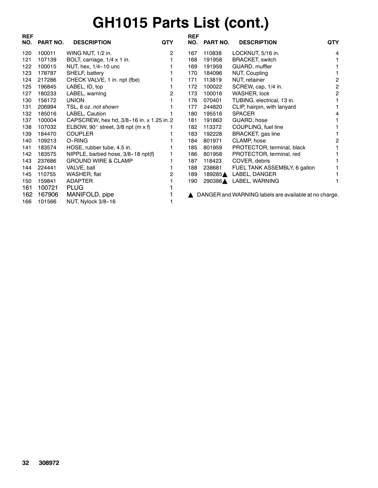## **GH1015 Parts List (cont.)**

| <b>REF</b><br>NO. | PART NO. | <b>DESCRIPTION</b>                        | <b>QTY</b> | <b>REF</b><br>NO. | PART NO. | <b>DESCRIPTION</b>                                    | <b>QTY</b>     |
|-------------------|----------|-------------------------------------------|------------|-------------------|----------|-------------------------------------------------------|----------------|
| 120               | 100011   | WING NUT, 1/2 in.                         | 2          | 167               | 110838   | LOCKNUT, 5/16 in.                                     | 4              |
| 121               | 107139   | BOLT, carriage, 1/4 x 1 in.               |            | 168               | 191958   | <b>BRACKET, switch</b>                                |                |
| 122               | 100015   | NUT, hex, 1/4-10 unc                      |            | 169               | 191959   | GUARD, muffler                                        |                |
| 123               | 178787   | SHELF, battery                            |            | 170               | 184096   | NUT, Coupling                                         |                |
| 124               | 217286   | CHECK VALVE, 1 in. npt (fbe)              |            | 171               | 113819   | NUT, retainer                                         | 2              |
| 125               | 196845   | LABEL, ID, top                            |            | 172               | 100022   | SCREW, cap, 1/4 in.                                   | $\overline{c}$ |
| 127               | 180233   | LABEL, warning                            | 2          | 173               | 100016   | WASHER, lock                                          | 2              |
| 130               | 156172   | <b>UNION</b>                              |            | 176               | 070401   | TUBING, electrical, 13 in.                            |                |
| 131               | 206994   | TSL, 8 oz. not shown                      |            | 177               | 244820   | CLIP, hairpin, with lanyard                           |                |
| 132               | 185016   | LABEL, Caution                            |            | 180               | 195516   | <b>SPACER</b>                                         | 4              |
| 137               | 100004   | CAPSCREW, hex hd, 3/8-16 in. x 1.25 in. 2 |            | 181               | 191863   | GUARD, hose                                           |                |
| 138               | 107032   | ELBOW, 90° street, 3/8 npt (m x f)        |            | 182               | 113372   | COUPLING, fuel line                                   |                |
| 139               | 184470   | <b>COUPLER</b>                            |            | 183               | 192228   | BRACKET, gas line                                     |                |
| 140               | 109213   | O-RING                                    |            | 184               | 801971   | CLAMP, hose                                           | 2              |
| 141               | 183574   | HOSE, rubber tube, 4.5 in.                |            | 185               | 801959   | PROTECTOR, terminal, black                            |                |
| 142               | 183575   | NIPPLE, barbed hose, 3/8-18 npt(f)        |            | 186               | 801958   | PROTECTOR, terminal, red                              |                |
| 143               | 237686   | <b>GROUND WIRE &amp; CLAMP</b>            |            | 187               | 118423   | COVER, debris                                         |                |
| 144               | 224441   | VALVE, ball                               |            | 188               | 238681   | FUEL TANK ASSEMBLY, 6 gallon                          |                |
| 145               | 110755   | WASHER, flat                              | 2          | 189               | 189285▲  | LABEL, DANGER                                         |                |
| 150               | 159841   | ADAPTER                                   |            | 190               |          | 290386▲ LABEL, WARNING                                |                |
| 161               | 100721   | <b>PLUG</b>                               |            |                   |          |                                                       |                |
| 162               | 167906   | MANIFOLD, pipe                            |            |                   |          | DANGER and WARNING labels are available at no charge. |                |
| 166               | 101566   | NUT, Nylock 3/8-16                        |            |                   |          |                                                       |                |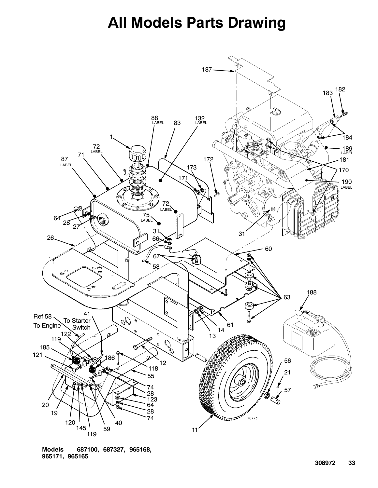### **All Models Parts Drawing**



**Models 687100, 687327, 965168, 965171, 965165**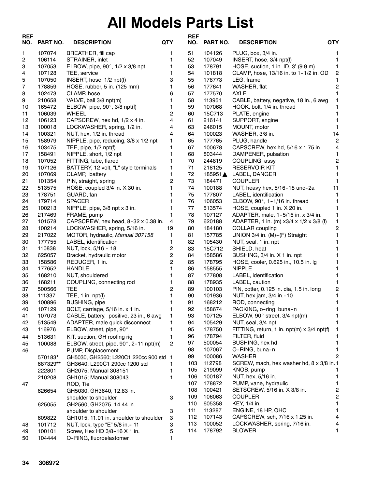## **All Models Parts List**

| <b>REF</b><br>NO. | <b>PART NO.</b>  | <b>DESCRIPTION</b>                                                  | <b>QTY</b>     | <b>REF</b><br>NO. | PART NO.         | <b>DESCRIPTION</b>                                         | <b>QTY</b>              |
|-------------------|------------------|---------------------------------------------------------------------|----------------|-------------------|------------------|------------------------------------------------------------|-------------------------|
| 1                 | 107074           | BREATHER, fill cap                                                  | 1              | 51                | 104126           | PLUG, box, 3/4 in.                                         | 1                       |
| 2                 | 106114           | STRAINER, inlet                                                     | 1              | 52                | 107049           | INSERT, hose, 3/4 npt(f)                                   | $\mathbf 1$             |
| 3                 | 107053           | ELBOW, pipe, 90 $^{\circ}$ , 1/2 x 3/8 npt                          | 1              | 53                | 178791           | HOSE, suction, 1 in. ID, 3' (9.9 m)                        | 1                       |
| 4                 | 107128           | TEE, service                                                        | 1              | 54                | 101818           | CLAMP, hose, 13/16 in. to 1-1/2 in. OD                     | $\sqrt{2}$              |
| 5                 | 107050           | INSERT, hose, 1/2 npt(f)                                            | 3              | 55                | 178773           | LEG, frame                                                 | 1                       |
| 7                 | 178859           | HOSE, rubber, 5 in. (125 mm)                                        | 1              | 56                | 177641           | WASHER, flat                                               | $\overline{\mathbf{c}}$ |
| 8                 | 102473           | CLAMP, hose                                                         | 6              | 57                | 177570           | AXLE                                                       | 1                       |
| 9                 | 210658           | VALVE, ball 3/8 npt(m)                                              | 1              | 58                | 113951           | CABLE, battery, negative, 18 in., 6 awg                    | 1                       |
| 10                | 165472           | ELBOW, pipe, $90^\circ$ , $3/8$ npt(f)                              | 1              | 59                | 107068           | HOOK, bolt, 1/4 in. thread                                 | 1                       |
| 11                | 106039           | WHEEL                                                               | 2              | 60                | 15C713           | PLATE, engine                                              | 1                       |
| 12                | 106123           | CAPSCREW, hex hd, 1/2 x 4 in.                                       | 4              | 61                | 216141           | SUPPORT, engine                                            | 1                       |
| 13                | 100018           | LOCKWASHER, spring, 1/2 in.                                         | 4              | 63                | 246015           | MOUNT, motor                                               | 1                       |
| 14                | 100321           | NUT, hex, 1/2 in. thread                                            | 4              | 64                | 100023           | WASHER, 3/8 in.                                            | 14                      |
| 15                | 158979           | NIPPLE, pipe, reducing, 3/8 x 1/2 npt                               | 1              | 65                | 177765           | PLUG, handle                                               | $\overline{2}$          |
| 16                | 103475           | TEE, pipe, 1/2 npt(f)                                               | 1              | 67                | 100678           | CAPSCREW, hex hd, 5/16 x 1.75 in.                          | 4                       |
| 17                | 158491           | NIPPLE, short, 1/2 npt                                              | 1              | 68                | 803444           | DAMPENER, pulsation                                        | 1                       |
| 18                | 107052           | FITTING, tube, flared                                               | 1              | 70                | 244819           | COUPLING, assy                                             | $\overline{\mathbf{c}}$ |
| 19                | 107126           | BATTERY, 12 volt, "L" style terminals                               | 1              | 71                | 218125           | <b>RESERVOIR KIT</b>                                       | 1                       |
| 20                | 107069           | CLAMP, battery                                                      | 1              | 72                | 185951▲          | LABEL, DANGER                                              | 1                       |
| 21                | 101354           | PIN, straight, spring                                               | 2              | 73                | 184471           | <b>COUPLER</b>                                             | 1                       |
| 22                | 513575           | HOSE, coupled 3/4 in. X 30 in.                                      | 1              | 74                | 100188           | NUT, heavy hex, 5/16-18 unc-2a                             | 11                      |
| 23                | 178751           | GUARD, fan                                                          |                | 75                | 177807           | LABEL, identification                                      | 1                       |
| 24                | 179714           | <b>SPACER</b>                                                       |                | 76                | 106053           | ELBOW, 90°, 1-1/16 in. thread                              | 1                       |
| 25                | 100213           | NIPPLE, pipe, 3/8 npt x 3 in.                                       | 1              | 77                | 513574           | HOSE, coupled 1 in. X 20 in.                               | 1                       |
| 26                | 217469           | FRAME, pump                                                         | 1<br>4         | 78<br>79          | 107127           | ADAPTER, male, 1-5/16 in. x 3/4 in.                        | 1                       |
| 27<br>28          | 101578<br>100214 | CAPSCREW, hex head, 8-32 x 0.38 in.<br>LOCKWASHER, spring, 5/16 in. | 19             | 80                | 620188<br>184180 | ADAPTER, 1 in. (m) x3/4 x 1/2 x 3/8 (f)<br>COLLAR coupling | 1<br>2                  |
| 29                | 217022           | MOTOR, hydraulic, Manual 307158                                     | 1              | 81                | 157785           | UNION 3/4 in. (M)-(F) Straight                             | 1                       |
| 30                | 177755           | LABEL, identification                                               | 1              | 82                | 105430           | NUT, seal, 1 in. npt                                       |                         |
| 31                | 110838           | NUT, lock, 5/16 - 18                                                | 2              | 83                | 15C712           | SHIELD, heat                                               | 1                       |
| 32                | 625057           | Bracket, hydraulic motor                                            | $\overline{c}$ | 84                | 158586           | BUSHING, 3/4 in. X 1 in. npt                               | 1                       |
| 33                | 158586           | REDUCER, 1 in.                                                      | $\overline{2}$ | 85                | 178795           | HOSE, cooler, 0.625 in., 10.5 in. lg                       | 1                       |
| 34                | 177652           | <b>HANDLE</b>                                                       | 1              | 86                | 158555           | <b>NIPPLE</b>                                              | 1.                      |
| 35                | 168210           | NUT, shouldered                                                     | 1              | 87                | 177808           | LABEL, identification                                      | 1                       |
| 36                | 168211           | COUPLING, connecting rod                                            | 1              | 88                | 178935           | LABEL, caution                                             | 1                       |
| 37                | 500566           | TEE                                                                 | 2              | 89                | 100103           | PIN, cotter, 0.125 in. dia, 1.5 in. long                   | $\overline{\mathbf{c}}$ |
| 38                | 111337           | TEE, $1$ in. $npt(f)$                                               |                | 90                | 101936           | NUT, hex jam, 3/4 in.-10                                   | 1                       |
| 39                | 100896           | <b>BUSHING, pipe</b>                                                |                | 91                | 168212           | ROD, connecting                                            | 1                       |
| 40                | 107129           | BOLT, carriage, 5/16 in. x 1 in.                                    | 1              | 92                | 158674           | PACKING, o-ring, buna-n                                    | 1                       |
| 41                | 107073           | CABLE, battery, positive, 23 in., 6 awg                             | 1              | 93                | 107125           | ELBOW, 90° street, 3/4 npt(m)                              | 1                       |
| 42                | 513549           | ADAPTER, male quick disconnect                                      |                | 94                | 105429           | NUT, seal, 3/4 npt                                         | 1                       |
| 43                | 116976           | ELBOW, street, pipe, 90°                                            | 1              | 95                | 178750           | FITTING, return, 1 in. npt(m) x 3/4 npt(f)                 | 1                       |
| 44                | 513631           | KIT, suction, GH roofing rig                                        | 1              | 96                | 178794           | FILTER, fluid                                              | 1                       |
| 45                | 100088           | ELBOW, street, pipe, 90°, 2-11 npt(m)                               | $\overline{2}$ | 97                | 500054           | BUSHING, hex hd                                            | $\mathbf{1}$            |
| 46                |                  | PUMP, Displacement                                                  |                | 98                | 107067           | O-RING, buna-n                                             | 1.                      |
|                   | 570183*          | GH5030, GH2560; L220C1 220cc 900 std                                | -1             | 99                | 100086           | <b>WASHER</b>                                              | 2                       |
|                   | 687329**         | GH3640; L290C1 290cc 1200 std                                       |                | 103               | 112798           | SCREW, mach, hex washer hd, 8 x 3/8 in.1                   |                         |
|                   | 222801           | GH2075; Manual 308151                                               | 1              | 105               | 219099           | KNOB, pump                                                 | 1                       |
|                   | 210208           | GH1015; Manual 308043                                               | 1              | 106               | 100187           | NUT, hex, 5/16 in.                                         | $\mathbf{1}$            |
| 47                |                  | ROD, Tie                                                            |                | 107               | 178872           | PUMP, vane, hydraulic                                      | $\mathbf{1}$            |
|                   | 626654           | GH5030, GH3640, 12.83 in.                                           |                | 108               | 100421           | SETSCREW, 5/16 in. X 3/8 in.                               | 2                       |
|                   |                  | shoulder to shoulder                                                | 3              | 109               | 106063           | <b>COUPLER</b>                                             | 2<br>1                  |
|                   | 625055           | GH2560, GH2075, 14.44 in.                                           |                | 110<br>111        | 605358<br>113287 | KEY, 1/4 in.<br>ENGINE, 18 HP, OHC                         | 1.                      |
|                   |                  | shoulder to shoulder                                                | 3              | 112               | 107143           | CAPSCREW, sch, 7/16 x 1.25 in.                             | 4                       |
|                   | 609822           | GH1015, 11.01 in. shoulder to shoulder                              | 3<br>3         | 113               | 100052           | LOCKWASHER, spring, 7/16 in.                               | 4                       |
| 48<br>49          | 101712<br>100101 | NUT, lock, type "E" 5/8 in. - 11<br>Screw, Hex HD 3/8-16 X 1 in.    | 5              | 114               | 178792           | <b>BLOWER</b>                                              | 1.                      |
| 50                | 104444           | O-RING, fluoroelastomer                                             | 1              |                   |                  |                                                            |                         |
|                   |                  |                                                                     |                |                   |                  |                                                            |                         |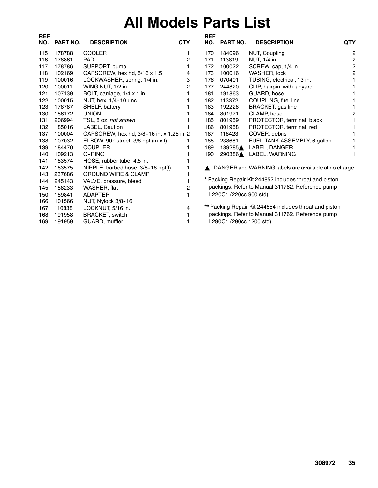## **All Models Parts List**

| <b>REF</b><br>NO. | <b>PART NO.</b> | <b>DESCRIPTION</b>                        | <b>QTY</b> | <b>REF</b><br>NO. | PART NO.                 | <b>DESCRIPTION</b>                                      | <b>QTY</b>     |
|-------------------|-----------------|-------------------------------------------|------------|-------------------|--------------------------|---------------------------------------------------------|----------------|
| 115               | 178788          | <b>COOLER</b>                             |            | 170               | 184096                   | NUT, Coupling                                           | $\overline{c}$ |
| 116               | 178861          | <b>PAD</b>                                | 2          | 171               | 113819                   | NUT, 1/4 in.                                            | $\mathbf 2$    |
| 117               | 178786          | SUPPORT, pump                             |            | 172               | 100022                   | SCREW, cap, 1/4 in.                                     | $\mathbf 2$    |
| 118               | 102169          | CAPSCREW, hex hd, 5/16 x 1.5              | 4          | 173               | 100016                   | WASHER, lock                                            | $\overline{c}$ |
| 119               | 100016          | LOCKWASHER, spring, 1/4 in.               | 3          | 176               | 070401                   | TUBING, electrical, 13 in.                              |                |
| 120               | 100011          | WING NUT, 1/2 in.                         | 2          | 177               | 244820                   | CLIP, hairpin, with lanyard                             |                |
| 121               | 107139          | BOLT, carriage, 1/4 x 1 in.               |            | 181               | 191863                   | GUARD, hose                                             |                |
| 122               | 100015          | NUT, hex, 1/4-10 unc                      |            | 182               | 113372                   | COUPLING, fuel line                                     |                |
| 123               | 178787          | SHELF, battery                            |            | 183               | 192228                   | <b>BRACKET, gas line</b>                                |                |
| 130               | 156172          | <b>UNION</b>                              |            | 184               | 801971                   | CLAMP, hose                                             | 2              |
| 131               | 206994          | TSL, 8 oz. not shown                      |            | 185               | 801959                   | PROTECTOR, terminal, black                              |                |
| 132               | 185016          | <b>LABEL, Caution</b>                     |            | 186               | 801958                   | PROTECTOR, terminal, red                                |                |
| 137               | 100004          | CAPSCREW, hex hd, 3/8-16 in. x 1.25 in. 2 |            | 187               | 118423                   | COVER, debris                                           |                |
| 138               | 107032          | ELBOW, 90° street, 3/8 npt (m x f)        |            | 188               | 238681                   | FUEL TANK ASSEMBLY, 6 gallon                            |                |
| 139               | 184470          | <b>COUPLER</b>                            |            | 189               | 189285▲                  | LABEL, DANGER                                           |                |
| 140               | 109213          | O-RING                                    |            | 190               |                          | 290386▲ LABEL, WARNING                                  |                |
| 141               | 183574          | HOSE, rubber tube, 4.5 in.                |            |                   |                          |                                                         |                |
| 142               | 183575          | NIPPLE, barbed hose, 3/8-18 npt(f)        |            |                   |                          | DANGER and WARNING labels are available at no charge.   |                |
| 143               | 237686          | <b>GROUND WIRE &amp; CLAMP</b>            |            |                   |                          |                                                         |                |
| 144               | 245143          | VALVE, pressure, bleed                    |            |                   |                          | * Packing Repair Kit 244852 includes throat and piston  |                |
| 145               | 158233          | WASHER, flat                              | 2          |                   |                          | packings. Refer to Manual 311762. Reference pump        |                |
| 150               | 159841          | <b>ADAPTER</b>                            |            |                   | L220C1 (220cc 900 std).  |                                                         |                |
| 166               | 101566          | NUT, Nylock 3/8-16                        |            |                   |                          |                                                         |                |
| 167               | 110838          | LOCKNUT, 5/16 in.                         | 4          |                   |                          | ** Packing Repair Kit 244854 includes throat and piston |                |
| 168               | 191958          | <b>BRACKET, switch</b>                    |            |                   |                          | packings. Refer to Manual 311762. Reference pump        |                |
| 169               | 191959          | GUARD, muffler                            |            |                   | L290C1 (290cc 1200 std). |                                                         |                |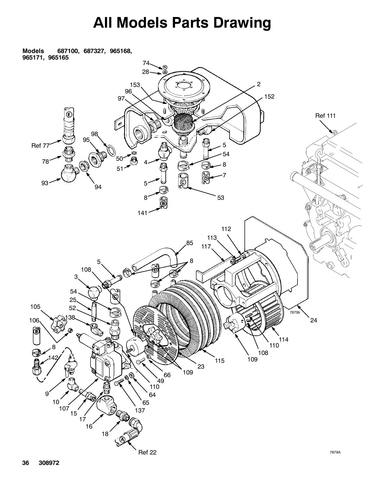## **All Models Parts Drawing**

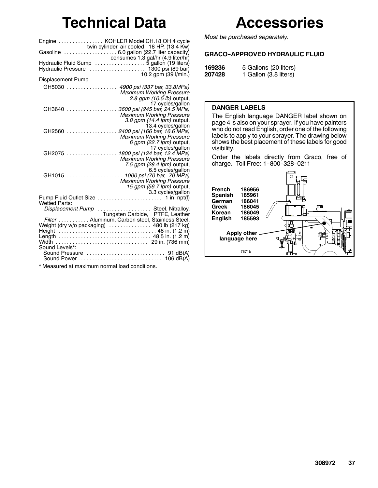### **Technical Data**

|                          | Engine  KOHLER Model CH.18 OH 4 cycle                         |
|--------------------------|---------------------------------------------------------------|
|                          | consumes 1.3 gal/hr (4.9 liter/hr)                            |
|                          |                                                               |
| <b>Displacement Pump</b> | 10.2 gpm (39 l/min.)                                          |
| GH5030                   | 4900 psi (337 bar, 33.8MPa)                                   |
|                          | <b>Maximum Working Pressure</b>                               |
|                          | 2.8 gpm (10.5 lb) output,                                     |
|                          | 17 cycles/gallon                                              |
| GH3640                   | 3600 psi (245 bar, 24.5 MPa)                                  |
|                          | <b>Maximum Working Pressure</b><br>3.8 gpm (14.4 lpm) output, |
|                          | 13.4 cycles/gallon                                            |
| GH2560                   | 2400 psi (166 bar, 16.6 MPa)                                  |
|                          | Maximum Working Pressure                                      |
|                          | 6 gpm (22.7 lpm) output,                                      |
| GH2075                   | 17 cycles/gallon<br>1800 psi (124 bar, 12.4 MPa)              |
|                          | <b>Maximum Working Pressure</b>                               |
|                          | 7.5 gpm (28.4 lpm) output,                                    |
|                          | 6.5 cycles/gallon                                             |
| GH1015                   | 1000 psi (70 bar, .70 MPa)                                    |
|                          | <b>Maximum Working Pressure</b>                               |
|                          | 15 gpm (56.7 lpm) output,                                     |
|                          | 3.3 cycles/gallon                                             |
| <b>Wetted Parts:</b>     |                                                               |
|                          | Displacement Pump  Steel, Nitralloy,                          |
|                          | Tungsten Carbide, PTFE, Leather                               |
|                          | Filter Aluminum, Carbon steel, Stainless Steel,               |
|                          | Weight (dry w/o packaging)  480 lb (217 kg)                   |
|                          |                                                               |
|                          |                                                               |
| Sound Levels*:           |                                                               |
|                          | Sound Pressure<br>91 dB(A)                                    |
|                          | 106 dB(A)                                                     |

\* Measured at maximum normal load conditions.

### **Accessories**

*Must be purchased separately.*

#### **GRACO--APPROVED HYDRAULIC FLUID**

| 169236 | 5 Gallons (20 liters) |
|--------|-----------------------|
| 207428 | 1 Gallon (3.8 liters) |

#### **DANGER LABELS**

The English language DANGER label shown on page 4 is also on your sprayer. If you have painters who do not read English, order one of the following labels to apply to your sprayer. The drawing below shows the best placement of these labels for good visibility.

Order the labels directly from Graco, free of charge. Toll Free: 1-800-328-0211